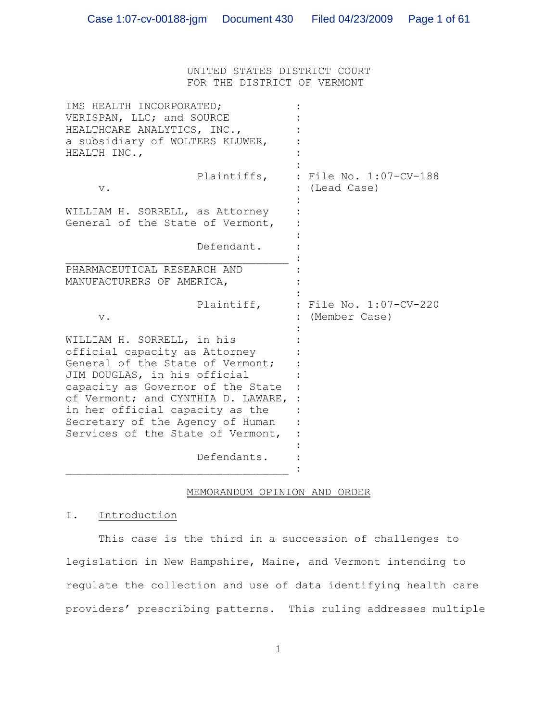UNITED STATES DISTRICT COURT FOR THE DISTRICT OF VERMONT

| IMS HEALTH INCORPORATED;<br>VERISPAN, LLC; and SOURCE<br>HEALTHCARE ANALYTICS, INC.,<br>a subsidiary of WOLTERS KLUWER,<br>HEALTH INC.,                                                                                                                                                                                |                                         |
|------------------------------------------------------------------------------------------------------------------------------------------------------------------------------------------------------------------------------------------------------------------------------------------------------------------------|-----------------------------------------|
| Plaintiffs,<br>$\mathbf v$ .                                                                                                                                                                                                                                                                                           | : File No. 1:07-CV-188<br>(Lead Case)   |
| WILLIAM H. SORRELL, as Attorney<br>General of the State of Vermont,                                                                                                                                                                                                                                                    |                                         |
| Defendant.                                                                                                                                                                                                                                                                                                             |                                         |
| PHARMACEUTICAL RESEARCH AND<br>MANUFACTURERS OF AMERICA,                                                                                                                                                                                                                                                               |                                         |
| Plaintiff,<br>$\mathbf v$ .                                                                                                                                                                                                                                                                                            | : File No. 1:07-CV-220<br>(Member Case) |
| WILLIAM H. SORRELL, in his<br>official capacity as Attorney<br>General of the State of Vermont;<br>JIM DOUGLAS, in his official<br>capacity as Governor of the State<br>of Vermont; and CYNTHIA D. LAWARE,<br>in her official capacity as the<br>Secretary of the Agency of Human<br>Services of the State of Vermont, |                                         |
| Defendants.                                                                                                                                                                                                                                                                                                            |                                         |

## MEMORANDUM OPINION AND ORDER

I. Introduction

This case is the third in a succession of challenges to legislation in New Hampshire, Maine, and Vermont intending to regulate the collection and use of data identifying health care providers' prescribing patterns. This ruling addresses multiple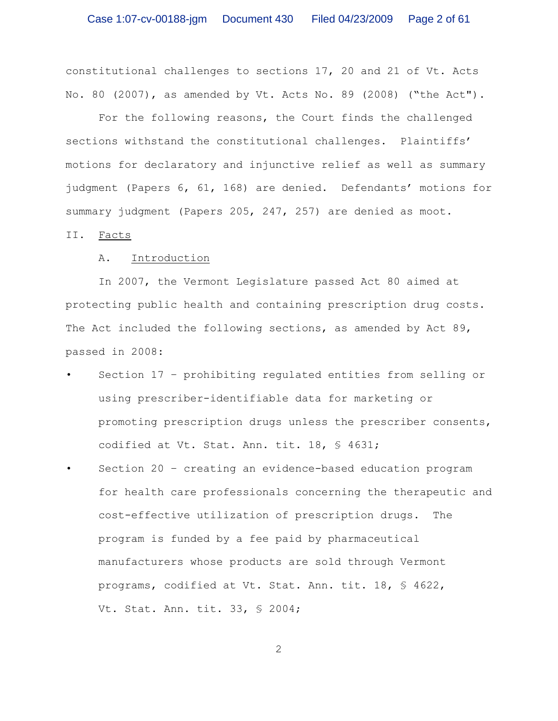constitutional challenges to sections 17, 20 and 21 of Vt. Acts No. 80 (2007), as amended by Vt. Acts No. 89 (2008) ("the Act").

For the following reasons, the Court finds the challenged sections withstand the constitutional challenges. Plaintiffs' motions for declaratory and injunctive relief as well as summary judgment (Papers 6, 61, 168) are denied. Defendants' motions for summary judgment (Papers 205, 247, 257) are denied as moot.

II. Facts

## A. Introduction

In 2007, the Vermont Legislature passed Act 80 aimed at protecting public health and containing prescription drug costs. The Act included the following sections, as amended by Act 89, passed in 2008:

- Section 17 prohibiting regulated entities from selling or using prescriber-identifiable data for marketing or promoting prescription drugs unless the prescriber consents, codified at Vt. Stat. Ann. tit. 18, § 4631;
- Section 20 creating an evidence-based education program for health care professionals concerning the therapeutic and cost-effective utilization of prescription drugs. The program is funded by a fee paid by pharmaceutical manufacturers whose products are sold through Vermont programs, codified at Vt. Stat. Ann. tit. 18, § 4622, Vt. Stat. Ann. tit. 33, § 2004;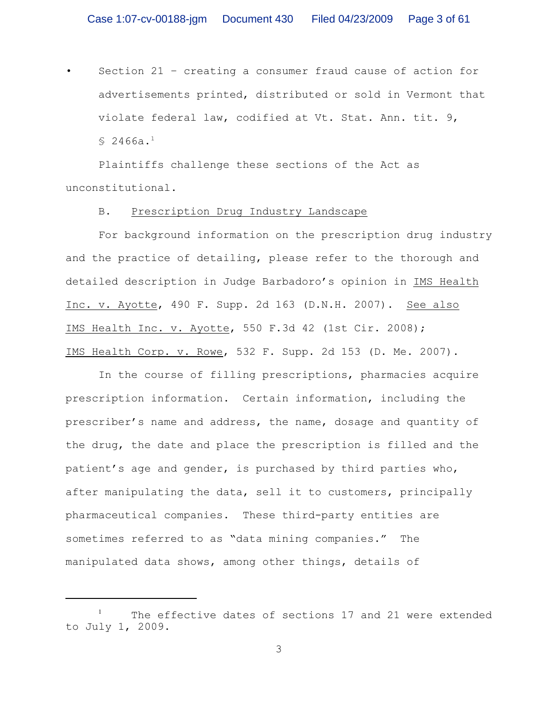• Section 21 – creating a consumer fraud cause of action for advertisements printed, distributed or sold in Vermont that violate federal law, codified at Vt. Stat. Ann. tit. 9,  $$2466a.^1$ 

Plaintiffs challenge these sections of the Act as unconstitutional.

### B. Prescription Drug Industry Landscape

For background information on the prescription drug industry and the practice of detailing, please refer to the thorough and detailed description in Judge Barbadoro's opinion in IMS Health Inc. v. Ayotte, 490 F. Supp. 2d 163 (D.N.H. 2007). See also IMS Health Inc. v. Ayotte, 550 F.3d 42 (1st Cir. 2008); IMS Health Corp. v. Rowe, 532 F. Supp. 2d 153 (D. Me. 2007).

In the course of filling prescriptions, pharmacies acquire prescription information. Certain information, including the prescriber's name and address, the name, dosage and quantity of the drug, the date and place the prescription is filled and the patient's age and gender, is purchased by third parties who, after manipulating the data, sell it to customers, principally pharmaceutical companies. These third-party entities are sometimes referred to as "data mining companies." The manipulated data shows, among other things, details of

 $1$  The effective dates of sections 17 and 21 were extended to July 1, 2009.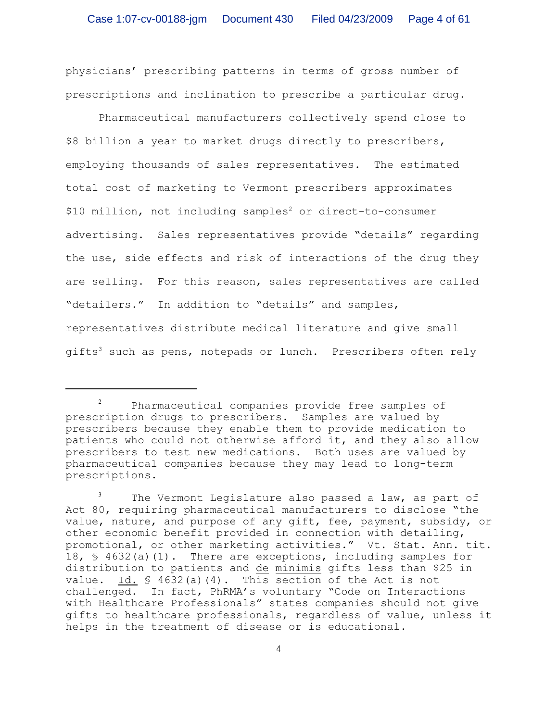physicians' prescribing patterns in terms of gross number of prescriptions and inclination to prescribe a particular drug.

Pharmaceutical manufacturers collectively spend close to \$8 billion a year to market drugs directly to prescribers, employing thousands of sales representatives. The estimated total cost of marketing to Vermont prescribers approximates \$10 million, not including samples<sup>2</sup> or direct-to-consumer advertising. Sales representatives provide "details" regarding the use, side effects and risk of interactions of the drug they are selling. For this reason, sales representatives are called "detailers." In addition to "details" and samples, representatives distribute medical literature and give small gifts<sup>3</sup> such as pens, notepads or lunch. Prescribers often rely

Pharmaceutical companies provide free samples of prescription drugs to prescribers. Samples are valued by prescribers because they enable them to provide medication to patients who could not otherwise afford it, and they also allow prescribers to test new medications. Both uses are valued by pharmaceutical companies because they may lead to long-term prescriptions.

 $3$  The Vermont Legislature also passed a law, as part of Act 80, requiring pharmaceutical manufacturers to disclose "the value, nature, and purpose of any gift, fee, payment, subsidy, or other economic benefit provided in connection with detailing, promotional, or other marketing activities." Vt. Stat. Ann. tit. 18, § 4632(a)(1). There are exceptions, including samples for distribution to patients and de minimis gifts less than \$25 in value. Id.  $\frac{1}{2}$  4632(a)(4). This section of the Act is not challenged. In fact, PhRMA's voluntary "Code on Interactions with Healthcare Professionals" states companies should not give gifts to healthcare professionals, regardless of value, unless it helps in the treatment of disease or is educational.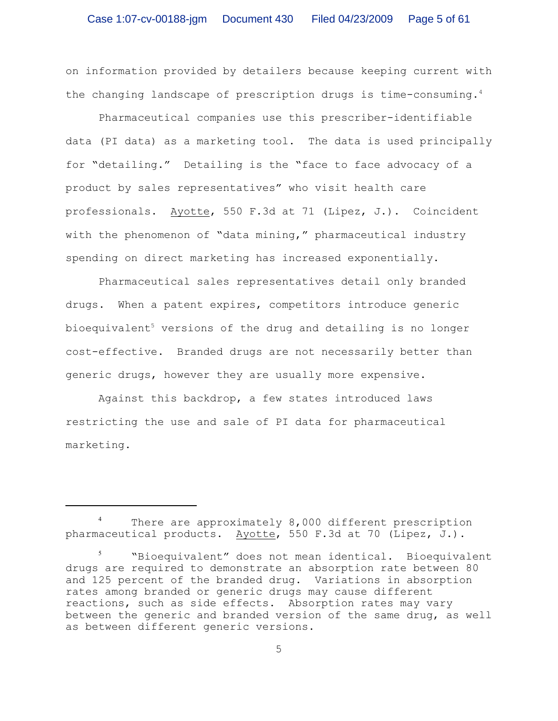on information provided by detailers because keeping current with the changing landscape of prescription drugs is time-consuming. 4

Pharmaceutical companies use this prescriber-identifiable data (PI data) as a marketing tool. The data is used principally for "detailing." Detailing is the "face to face advocacy of a product by sales representatives" who visit health care professionals. Ayotte, 550 F.3d at 71 (Lipez, J.). Coincident with the phenomenon of "data mining," pharmaceutical industry spending on direct marketing has increased exponentially.

Pharmaceutical sales representatives detail only branded drugs. When a patent expires, competitors introduce generic bioequivalent<sup>5</sup> versions of the drug and detailing is no longer cost-effective. Branded drugs are not necessarily better than generic drugs, however they are usually more expensive.

Against this backdrop, a few states introduced laws restricting the use and sale of PI data for pharmaceutical marketing.

There are approximately 8,000 different prescription pharmaceutical products. Ayotte, 550 F.3d at 70 (Lipez, J.).

<sup>&</sup>quot;Bioequivalent" does not mean identical. Bioequivalent <sup>5</sup> drugs are required to demonstrate an absorption rate between 80 and 125 percent of the branded drug. Variations in absorption rates among branded or generic drugs may cause different reactions, such as side effects. Absorption rates may vary between the generic and branded version of the same drug, as well as between different generic versions.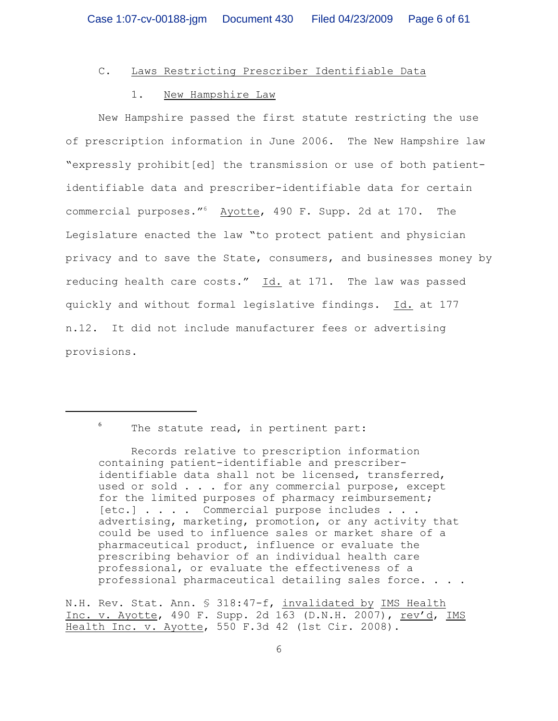# C. Laws Restricting Prescriber Identifiable Data

## 1. New Hampshire Law

New Hampshire passed the first statute restricting the use of prescription information in June 2006. The New Hampshire law "expressly prohibit[ed] the transmission or use of both patientidentifiable data and prescriber-identifiable data for certain commercial purposes."<sup>6</sup> Ayotte, 490 F. Supp. 2d at 170. The Legislature enacted the law "to protect patient and physician privacy and to save the State, consumers, and businesses money by reducing health care costs." Id. at 171. The law was passed quickly and without formal legislative findings. Id. at 177 n.12. It did not include manufacturer fees or advertising provisions.

 $6$  The statute read, in pertinent part:

Records relative to prescription information containing patient-identifiable and prescriberidentifiable data shall not be licensed, transferred, used or sold . . . for any commercial purpose, except for the limited purposes of pharmacy reimbursement; [etc.] . . . . Commercial purpose includes . . . advertising, marketing, promotion, or any activity that could be used to influence sales or market share of a pharmaceutical product, influence or evaluate the prescribing behavior of an individual health care professional, or evaluate the effectiveness of a professional pharmaceutical detailing sales force. . . .

N.H. Rev. Stat. Ann. § 318:47-f, invalidated by IMS Health Inc. v. Ayotte, 490 F. Supp. 2d 163 (D.N.H. 2007), rev'd, IMS Health Inc. v. Ayotte, 550 F.3d 42 (1st Cir. 2008).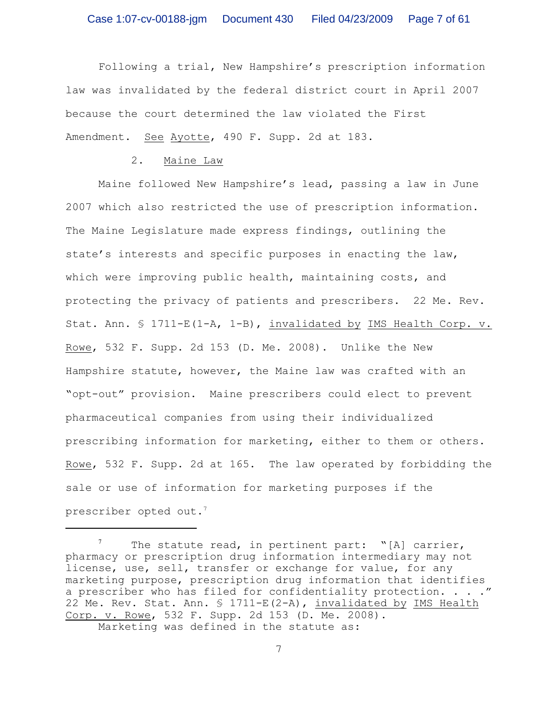Following a trial, New Hampshire's prescription information law was invalidated by the federal district court in April 2007 because the court determined the law violated the First Amendment. See Ayotte, 490 F. Supp. 2d at 183.

2. Maine Law

Maine followed New Hampshire's lead, passing a law in June 2007 which also restricted the use of prescription information. The Maine Legislature made express findings, outlining the state's interests and specific purposes in enacting the law, which were improving public health, maintaining costs, and protecting the privacy of patients and prescribers. 22 Me. Rev. Stat. Ann.  $$ 1711-E(1-A, 1-B)$ , invalidated by IMS Health Corp. v. Rowe, 532 F. Supp. 2d 153 (D. Me. 2008). Unlike the New Hampshire statute, however, the Maine law was crafted with an "opt-out" provision. Maine prescribers could elect to prevent pharmaceutical companies from using their individualized prescribing information for marketing, either to them or others. Rowe, 532 F. Supp. 2d at 165. The law operated by forbidding the sale or use of information for marketing purposes if the prescriber opted out.<sup>7</sup>

 $^7$  The statute read, in pertinent part: "[A] carrier, pharmacy or prescription drug information intermediary may not license, use, sell, transfer or exchange for value, for any marketing purpose, prescription drug information that identifies a prescriber who has filed for confidentiality protection. . . . " 22 Me. Rev. Stat. Ann. § 1711-E(2-A), invalidated by IMS Health Corp. v. Rowe, 532 F. Supp. 2d 153 (D. Me. 2008). Marketing was defined in the statute as: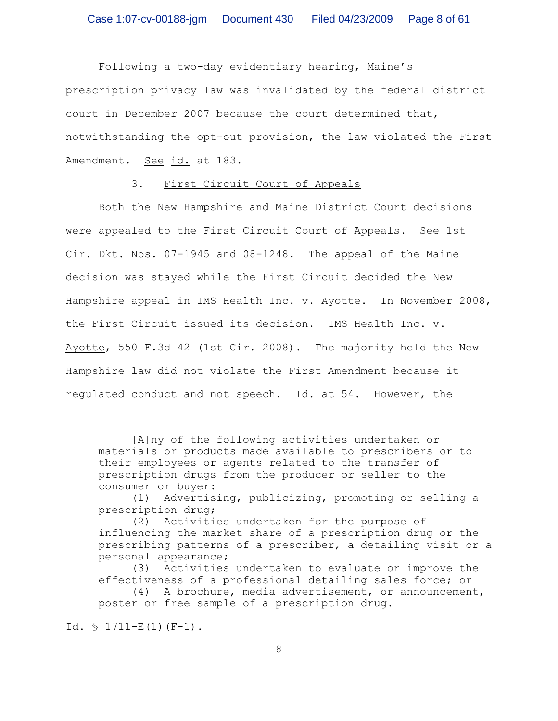Following a two-day evidentiary hearing, Maine's prescription privacy law was invalidated by the federal district court in December 2007 because the court determined that, notwithstanding the opt-out provision, the law violated the First Amendment. See id. at 183.

#### 3. First Circuit Court of Appeals

Both the New Hampshire and Maine District Court decisions were appealed to the First Circuit Court of Appeals. See 1st Cir. Dkt. Nos. 07-1945 and 08-1248. The appeal of the Maine decision was stayed while the First Circuit decided the New Hampshire appeal in IMS Health Inc. v. Ayotte. In November 2008, the First Circuit issued its decision. IMS Health Inc. v. Ayotte, 550 F.3d 42 (1st Cir. 2008). The majority held the New Hampshire law did not violate the First Amendment because it regulated conduct and not speech. Id. at 54. However, the

Id.  $\frac{1711-E(1)(F-1)}{F}$ .

<sup>[</sup>A]ny of the following activities undertaken or materials or products made available to prescribers or to their employees or agents related to the transfer of prescription drugs from the producer or seller to the consumer or buyer:

<sup>(1)</sup> Advertising, publicizing, promoting or selling a prescription drug;

<sup>(2)</sup> Activities undertaken for the purpose of influencing the market share of a prescription drug or the prescribing patterns of a prescriber, a detailing visit or a personal appearance;

<sup>(3)</sup> Activities undertaken to evaluate or improve the effectiveness of a professional detailing sales force; or

<sup>(4)</sup> A brochure, media advertisement, or announcement, poster or free sample of a prescription drug.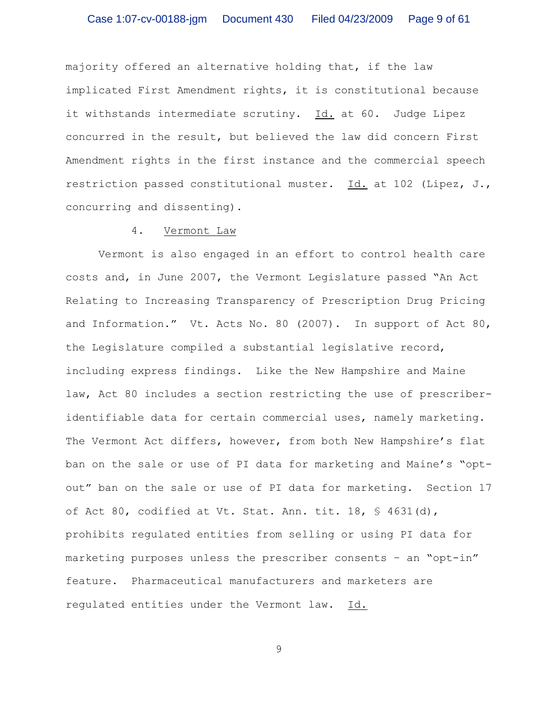majority offered an alternative holding that, if the law implicated First Amendment rights, it is constitutional because it withstands intermediate scrutiny. Id. at 60. Judge Lipez concurred in the result, but believed the law did concern First Amendment rights in the first instance and the commercial speech restriction passed constitutional muster. Id. at 102 (Lipez, J., concurring and dissenting).

## 4. Vermont Law

Vermont is also engaged in an effort to control health care costs and, in June 2007, the Vermont Legislature passed "An Act Relating to Increasing Transparency of Prescription Drug Pricing and Information." Vt. Acts No. 80 (2007). In support of Act 80, the Legislature compiled a substantial legislative record, including express findings. Like the New Hampshire and Maine law, Act 80 includes a section restricting the use of prescriberidentifiable data for certain commercial uses, namely marketing. The Vermont Act differs, however, from both New Hampshire's flat ban on the sale or use of PI data for marketing and Maine's "optout" ban on the sale or use of PI data for marketing. Section 17 of Act 80, codified at Vt. Stat. Ann. tit. 18,  $\frac{1}{5}$  4631(d), prohibits regulated entities from selling or using PI data for marketing purposes unless the prescriber consents – an "opt-in" feature. Pharmaceutical manufacturers and marketers are regulated entities under the Vermont law. Id.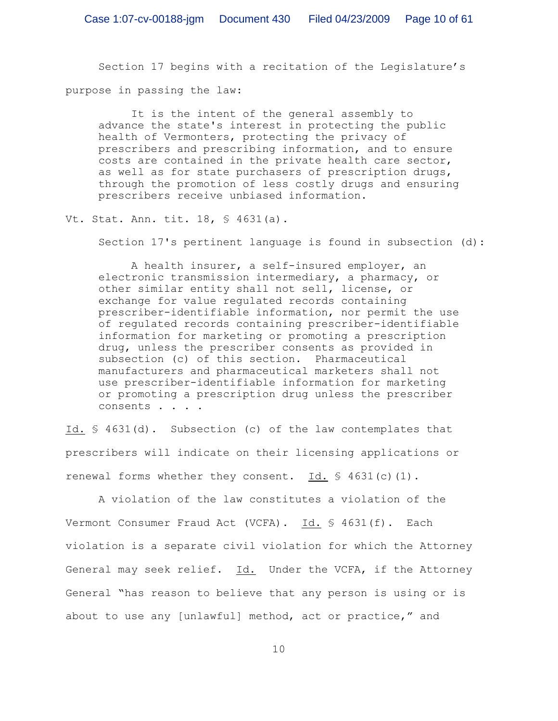Section 17 begins with a recitation of the Legislature's purpose in passing the law:

It is the intent of the general assembly to advance the state's interest in protecting the public health of Vermonters, protecting the privacy of prescribers and prescribing information, and to ensure costs are contained in the private health care sector, as well as for state purchasers of prescription drugs, through the promotion of less costly drugs and ensuring prescribers receive unbiased information.

Vt. Stat. Ann. tit. 18, § 4631(a).

Section 17's pertinent language is found in subsection (d):

A health insurer, a self-insured employer, an electronic transmission intermediary, a pharmacy, or other similar entity shall not sell, license, or exchange for value regulated records containing prescriber-identifiable information, nor permit the use of regulated records containing prescriber-identifiable information for marketing or promoting a prescription drug, unless the prescriber consents as provided in subsection (c) of this section. Pharmaceutical manufacturers and pharmaceutical marketers shall not use prescriber-identifiable information for marketing or promoting a prescription drug unless the prescriber consents . . . .

Id. § 4631(d). Subsection (c) of the law contemplates that prescribers will indicate on their licensing applications or renewal forms whether they consent. Id.  $$4631(c)(1)$ .

A violation of the law constitutes a violation of the Vermont Consumer Fraud Act (VCFA). Id. § 4631(f). Each violation is a separate civil violation for which the Attorney General may seek relief. Id. Under the VCFA, if the Attorney General "has reason to believe that any person is using or is about to use any [unlawful] method, act or practice," and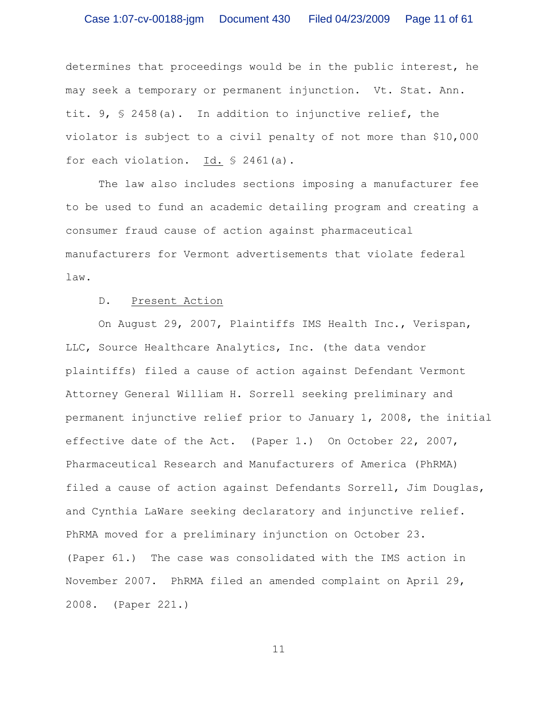determines that proceedings would be in the public interest, he may seek a temporary or permanent injunction. Vt. Stat. Ann. tit. 9,  $\frac{1}{2}$  2458(a). In addition to injunctive relief, the violator is subject to a civil penalty of not more than \$10,000 for each violation. Id. § 2461(a).

The law also includes sections imposing a manufacturer fee to be used to fund an academic detailing program and creating a consumer fraud cause of action against pharmaceutical manufacturers for Vermont advertisements that violate federal law.

## D. Present Action

On August 29, 2007, Plaintiffs IMS Health Inc., Verispan, LLC, Source Healthcare Analytics, Inc. (the data vendor plaintiffs) filed a cause of action against Defendant Vermont Attorney General William H. Sorrell seeking preliminary and permanent injunctive relief prior to January 1, 2008, the initial effective date of the Act. (Paper 1.) On October 22, 2007, Pharmaceutical Research and Manufacturers of America (PhRMA) filed a cause of action against Defendants Sorrell, Jim Douglas, and Cynthia LaWare seeking declaratory and injunctive relief. PhRMA moved for a preliminary injunction on October 23. (Paper 61.) The case was consolidated with the IMS action in November 2007. PhRMA filed an amended complaint on April 29, 2008. (Paper 221.)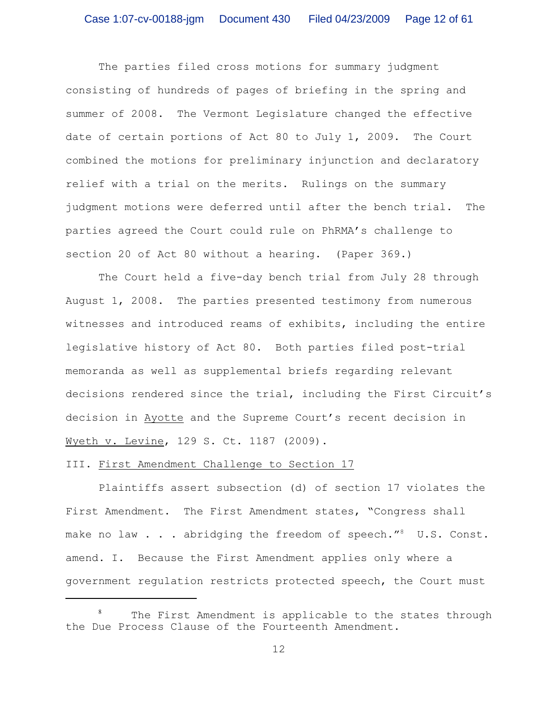The parties filed cross motions for summary judgment consisting of hundreds of pages of briefing in the spring and summer of 2008. The Vermont Legislature changed the effective date of certain portions of Act 80 to July 1, 2009. The Court combined the motions for preliminary injunction and declaratory relief with a trial on the merits. Rulings on the summary judgment motions were deferred until after the bench trial. The parties agreed the Court could rule on PhRMA's challenge to section 20 of Act 80 without a hearing. (Paper 369.)

The Court held a five-day bench trial from July 28 through August 1, 2008. The parties presented testimony from numerous witnesses and introduced reams of exhibits, including the entire legislative history of Act 80. Both parties filed post-trial memoranda as well as supplemental briefs regarding relevant decisions rendered since the trial, including the First Circuit's decision in Ayotte and the Supreme Court's recent decision in Wyeth v. Levine, 129 S. Ct. 1187 (2009).

## III. First Amendment Challenge to Section 17

Plaintiffs assert subsection (d) of section 17 violates the First Amendment. The First Amendment states, "Congress shall make no law  $\ldots$  abridging the freedom of speech." U.S. Const. amend. I. Because the First Amendment applies only where a government regulation restricts protected speech, the Court must

 $8$  The First Amendment is applicable to the states through the Due Process Clause of the Fourteenth Amendment.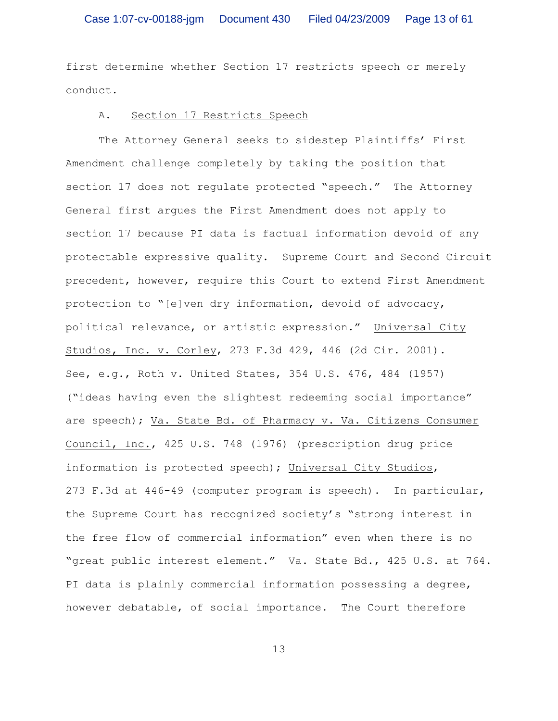first determine whether Section 17 restricts speech or merely conduct.

### A. Section 17 Restricts Speech

The Attorney General seeks to sidestep Plaintiffs' First Amendment challenge completely by taking the position that section 17 does not regulate protected "speech." The Attorney General first argues the First Amendment does not apply to section 17 because PI data is factual information devoid of any protectable expressive quality. Supreme Court and Second Circuit precedent, however, require this Court to extend First Amendment protection to "[e]ven dry information, devoid of advocacy, political relevance, or artistic expression." Universal City Studios, Inc. v. Corley, 273 F.3d 429, 446 (2d Cir. 2001). See, e.g., Roth v. United States, 354 U.S. 476, 484 (1957) ("ideas having even the slightest redeeming social importance" are speech); Va. State Bd. of Pharmacy v. Va. Citizens Consumer Council, Inc., 425 U.S. 748 (1976) (prescription drug price information is protected speech); Universal City Studios, 273 F.3d at 446-49 (computer program is speech). In particular, the Supreme Court has recognized society's "strong interest in the free flow of commercial information" even when there is no "great public interest element." Va. State Bd., 425 U.S. at 764. PI data is plainly commercial information possessing a degree, however debatable, of social importance. The Court therefore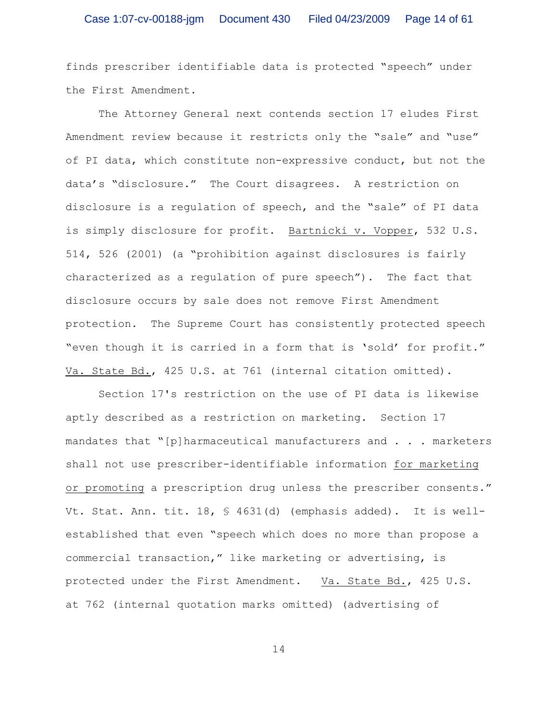finds prescriber identifiable data is protected "speech" under the First Amendment.

The Attorney General next contends section 17 eludes First Amendment review because it restricts only the "sale" and "use" of PI data, which constitute non-expressive conduct, but not the data's "disclosure." The Court disagrees. A restriction on disclosure is a regulation of speech, and the "sale" of PI data is simply disclosure for profit. Bartnicki v. Vopper, 532 U.S. 514, 526 (2001) (a "prohibition against disclosures is fairly characterized as a regulation of pure speech"). The fact that disclosure occurs by sale does not remove First Amendment protection. The Supreme Court has consistently protected speech "even though it is carried in a form that is 'sold' for profit." Va. State Bd., 425 U.S. at 761 (internal citation omitted).

Section 17's restriction on the use of PI data is likewise aptly described as a restriction on marketing. Section 17 mandates that " $[p]$  harmaceutical manufacturers and . . . marketers shall not use prescriber-identifiable information for marketing or promoting a prescription drug unless the prescriber consents." Vt. Stat. Ann. tit. 18, § 4631(d) (emphasis added). It is wellestablished that even "speech which does no more than propose a commercial transaction," like marketing or advertising, is protected under the First Amendment. Va. State Bd., 425 U.S. at 762 (internal quotation marks omitted) (advertising of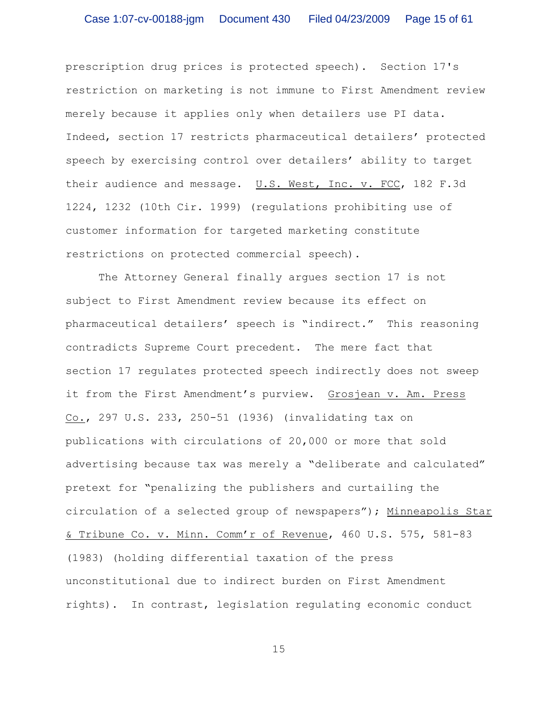prescription drug prices is protected speech). Section 17's restriction on marketing is not immune to First Amendment review merely because it applies only when detailers use PI data. Indeed, section 17 restricts pharmaceutical detailers' protected speech by exercising control over detailers' ability to target their audience and message. U.S. West, Inc. v. FCC, 182 F.3d 1224, 1232 (10th Cir. 1999) (regulations prohibiting use of customer information for targeted marketing constitute restrictions on protected commercial speech).

The Attorney General finally argues section 17 is not subject to First Amendment review because its effect on pharmaceutical detailers' speech is "indirect." This reasoning contradicts Supreme Court precedent. The mere fact that section 17 regulates protected speech indirectly does not sweep it from the First Amendment's purview. Grosjean v. Am. Press Co., 297 U.S. 233, 250-51 (1936) (invalidating tax on publications with circulations of 20,000 or more that sold advertising because tax was merely a "deliberate and calculated" pretext for "penalizing the publishers and curtailing the circulation of a selected group of newspapers"); Minneapolis Star & Tribune Co. v. Minn. Comm'r of Revenue, 460 U.S. 575, 581-83 (1983) (holding differential taxation of the press unconstitutional due to indirect burden on First Amendment rights). In contrast, legislation regulating economic conduct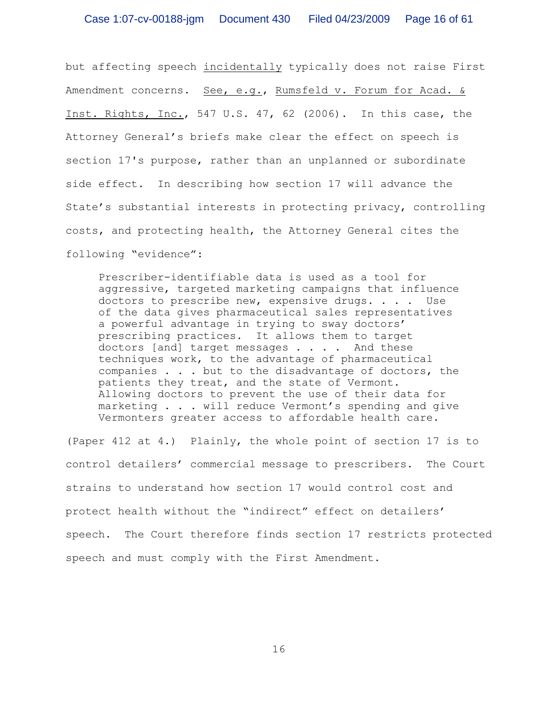but affecting speech incidentally typically does not raise First Amendment concerns. See, e.g., Rumsfeld v. Forum for Acad. & Inst. Rights, Inc., 547 U.S. 47, 62 (2006). In this case, the Attorney General's briefs make clear the effect on speech is section 17's purpose, rather than an unplanned or subordinate side effect. In describing how section 17 will advance the State's substantial interests in protecting privacy, controlling costs, and protecting health, the Attorney General cites the following "evidence":

Prescriber-identifiable data is used as a tool for aggressive, targeted marketing campaigns that influence doctors to prescribe new, expensive drugs. . . . Use of the data gives pharmaceutical sales representatives a powerful advantage in trying to sway doctors' prescribing practices. It allows them to target doctors [and] target messages . . . . And these techniques work, to the advantage of pharmaceutical companies . . . but to the disadvantage of doctors, the patients they treat, and the state of Vermont. Allowing doctors to prevent the use of their data for marketing . . . will reduce Vermont's spending and give Vermonters greater access to affordable health care.

(Paper 412 at 4.) Plainly, the whole point of section 17 is to control detailers' commercial message to prescribers. The Court strains to understand how section 17 would control cost and protect health without the "indirect" effect on detailers' speech. The Court therefore finds section 17 restricts protected speech and must comply with the First Amendment.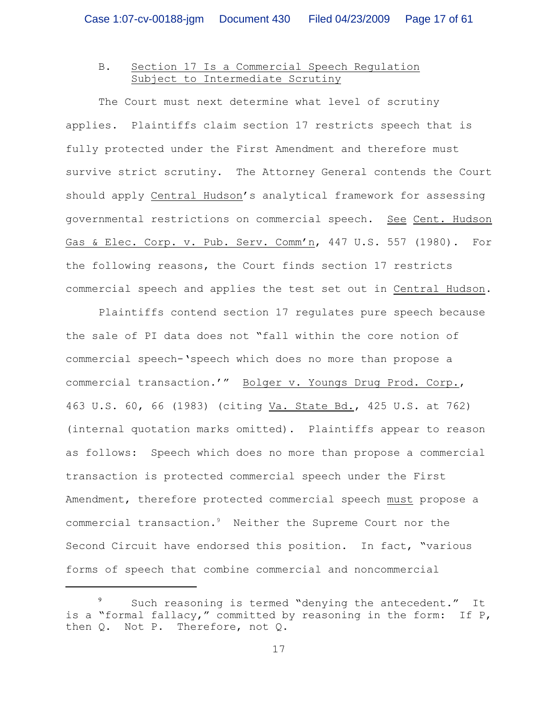# B. Section 17 Is a Commercial Speech Regulation Subject to Intermediate Scrutiny

The Court must next determine what level of scrutiny applies. Plaintiffs claim section 17 restricts speech that is fully protected under the First Amendment and therefore must survive strict scrutiny. The Attorney General contends the Court should apply Central Hudson's analytical framework for assessing governmental restrictions on commercial speech. See Cent. Hudson Gas & Elec. Corp. v. Pub. Serv. Comm'n, 447 U.S. 557 (1980). For the following reasons, the Court finds section 17 restricts commercial speech and applies the test set out in Central Hudson.

Plaintiffs contend section 17 regulates pure speech because the sale of PI data does not "fall within the core notion of commercial speech-'speech which does no more than propose a commercial transaction.'" Bolger v. Youngs Drug Prod. Corp., 463 U.S. 60, 66 (1983) (citing Va. State Bd., 425 U.S. at 762) (internal quotation marks omitted). Plaintiffs appear to reason as follows: Speech which does no more than propose a commercial transaction is protected commercial speech under the First Amendment, therefore protected commercial speech must propose a commercial transaction. $9$  Neither the Supreme Court nor the Second Circuit have endorsed this position. In fact, "various forms of speech that combine commercial and noncommercial

Such reasoning is termed "denying the antecedent." It is a "formal fallacy," committed by reasoning in the form: If P, then Q. Not P. Therefore, not Q.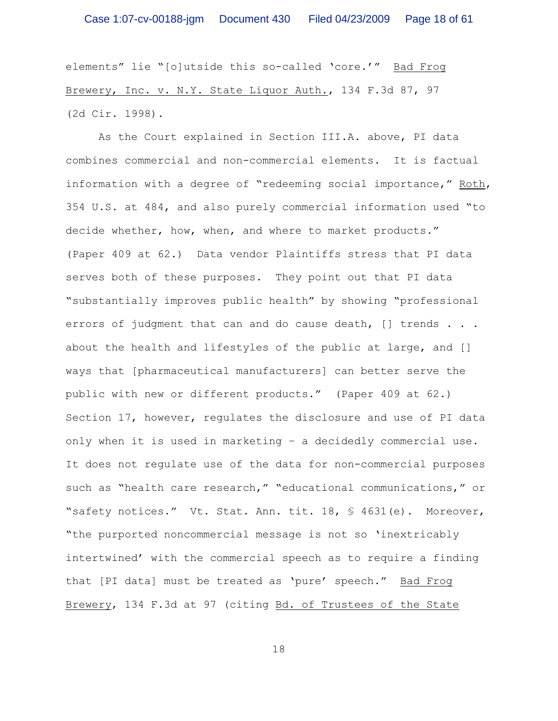elements" lie "[o]utside this so-called 'core.'" Bad Frog Brewery, Inc. v. N.Y. State Liquor Auth., 134 F.3d 87, 97 (2d Cir. 1998).

As the Court explained in Section III.A. above, PI data combines commercial and non-commercial elements. It is factual information with a degree of "redeeming social importance," Roth, 354 U.S. at 484, and also purely commercial information used "to decide whether, how, when, and where to market products." (Paper 409 at 62.) Data vendor Plaintiffs stress that PI data serves both of these purposes. They point out that PI data "substantially improves public health" by showing "professional errors of judgment that can and do cause death, [] trends . . . about the health and lifestyles of the public at large, and [] ways that [pharmaceutical manufacturers] can better serve the public with new or different products." (Paper 409 at 62.) Section 17, however, regulates the disclosure and use of PI data only when it is used in marketing – a decidedly commercial use. It does not regulate use of the data for non-commercial purposes such as "health care research," "educational communications," or "safety notices." Vt. Stat. Ann. tit. 18, § 4631(e). Moreover, "the purported noncommercial message is not so 'inextricably intertwined' with the commercial speech as to require a finding that [PI data] must be treated as 'pure' speech." Bad Frog Brewery, 134 F.3d at 97 (citing Bd. of Trustees of the State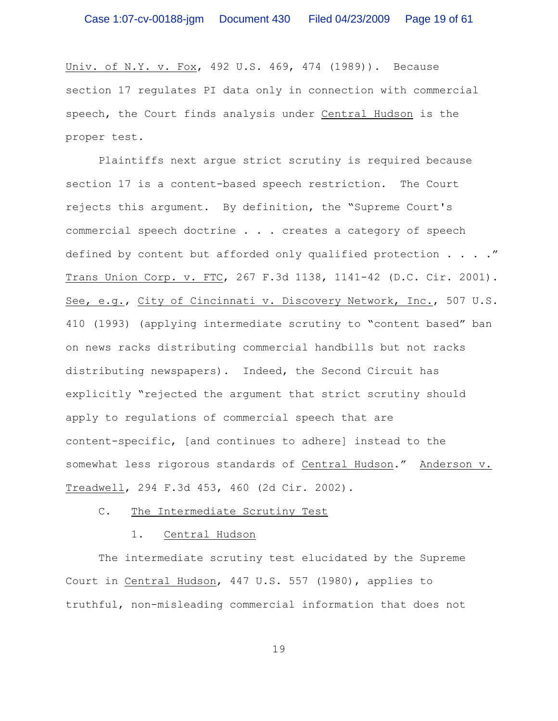Univ. of N.Y. v. Fox, 492 U.S. 469, 474 (1989)). Because section 17 regulates PI data only in connection with commercial speech, the Court finds analysis under Central Hudson is the proper test.

Plaintiffs next argue strict scrutiny is required because section 17 is a content-based speech restriction. The Court rejects this argument. By definition, the "Supreme Court's commercial speech doctrine . . . creates a category of speech defined by content but afforded only qualified protection . . . . " Trans Union Corp. v. FTC, 267 F.3d 1138, 1141-42 (D.C. Cir. 2001). See, e.g., City of Cincinnati v. Discovery Network, Inc., 507 U.S. 410 (1993) (applying intermediate scrutiny to "content based" ban on news racks distributing commercial handbills but not racks distributing newspapers). Indeed, the Second Circuit has explicitly "rejected the argument that strict scrutiny should apply to regulations of commercial speech that are content-specific, [and continues to adhere] instead to the somewhat less rigorous standards of Central Hudson." Anderson v. Treadwell, 294 F.3d 453, 460 (2d Cir. 2002).

## C. The Intermediate Scrutiny Test

### 1. Central Hudson

The intermediate scrutiny test elucidated by the Supreme Court in Central Hudson, 447 U.S. 557 (1980), applies to truthful, non-misleading commercial information that does not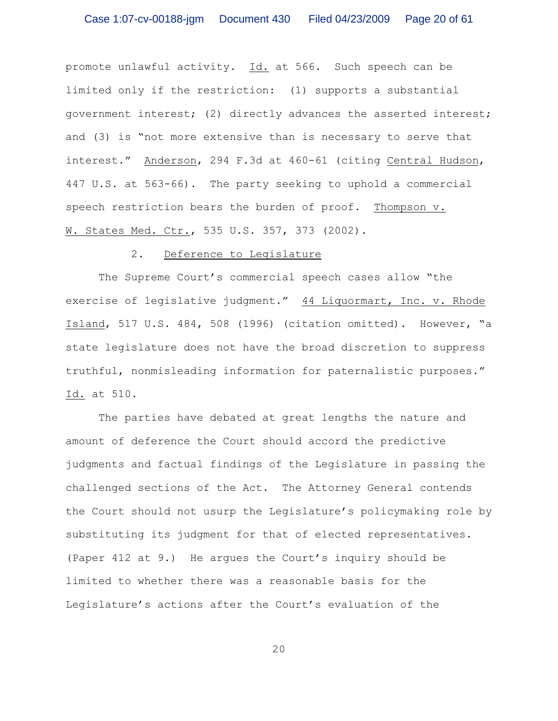promote unlawful activity. Id. at 566. Such speech can be limited only if the restriction: (1) supports a substantial government interest; (2) directly advances the asserted interest; and (3) is "not more extensive than is necessary to serve that interest." Anderson, 294 F.3d at 460-61 (citing Central Hudson, 447 U.S. at 563-66). The party seeking to uphold a commercial speech restriction bears the burden of proof. Thompson v. W. States Med. Ctr., 535 U.S. 357, 373 (2002).

### 2. Deference to Legislature

The Supreme Court's commercial speech cases allow "the exercise of legislative judgment." 44 Liquormart, Inc. v. Rhode Island, 517 U.S. 484, 508 (1996) (citation omitted). However, "a state legislature does not have the broad discretion to suppress truthful, nonmisleading information for paternalistic purposes." Id. at 510.

The parties have debated at great lengths the nature and amount of deference the Court should accord the predictive judgments and factual findings of the Legislature in passing the challenged sections of the Act. The Attorney General contends the Court should not usurp the Legislature's policymaking role by substituting its judgment for that of elected representatives. (Paper 412 at 9.) He argues the Court's inquiry should be limited to whether there was a reasonable basis for the Legislature's actions after the Court's evaluation of the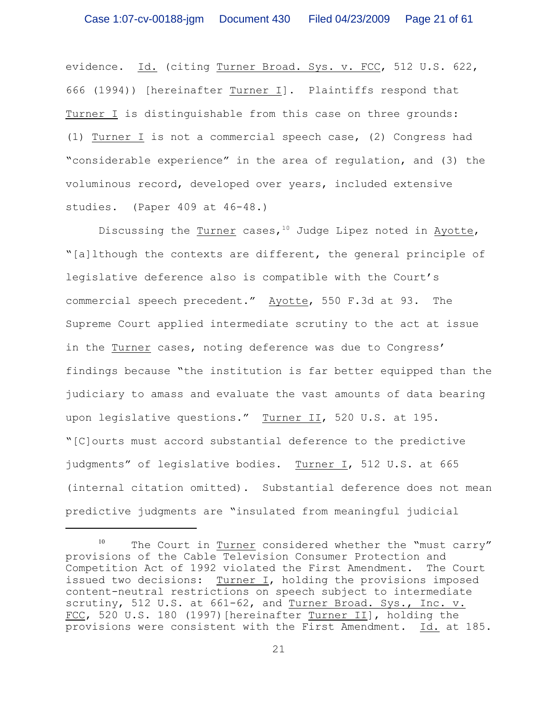evidence. Id. (citing Turner Broad. Sys. v. FCC, 512 U.S. 622, 666 (1994)) [hereinafter Turner I]. Plaintiffs respond that Turner I is distinguishable from this case on three grounds: (1) Turner I is not a commercial speech case, (2) Congress had "considerable experience" in the area of regulation, and (3) the voluminous record, developed over years, included extensive studies. (Paper 409 at 46-48.)

Discussing the  $\frac{Turner}{}\;cases\;10\;Judge\;Lipez\;noted\;in\;Ayctte,$ "[a]lthough the contexts are different, the general principle of legislative deference also is compatible with the Court's commercial speech precedent." Ayotte, 550 F.3d at 93. The Supreme Court applied intermediate scrutiny to the act at issue in the Turner cases, noting deference was due to Congress' findings because "the institution is far better equipped than the judiciary to amass and evaluate the vast amounts of data bearing upon legislative questions." Turner II, 520 U.S. at 195. "[C]ourts must accord substantial deference to the predictive judgments" of legislative bodies. Turner I, 512 U.S. at 665 (internal citation omitted). Substantial deference does not mean predictive judgments are "insulated from meaningful judicial

 $10$  The Court in Turner considered whether the "must carry" provisions of the Cable Television Consumer Protection and Competition Act of 1992 violated the First Amendment. The Court issued two decisions: Turner I, holding the provisions imposed content-neutral restrictions on speech subject to intermediate scrutiny, 512 U.S. at 661-62, and Turner Broad. Sys., Inc. v. FCC, 520 U.S. 180 (1997) [hereinafter Turner II], holding the provisions were consistent with the First Amendment. Id. at 185.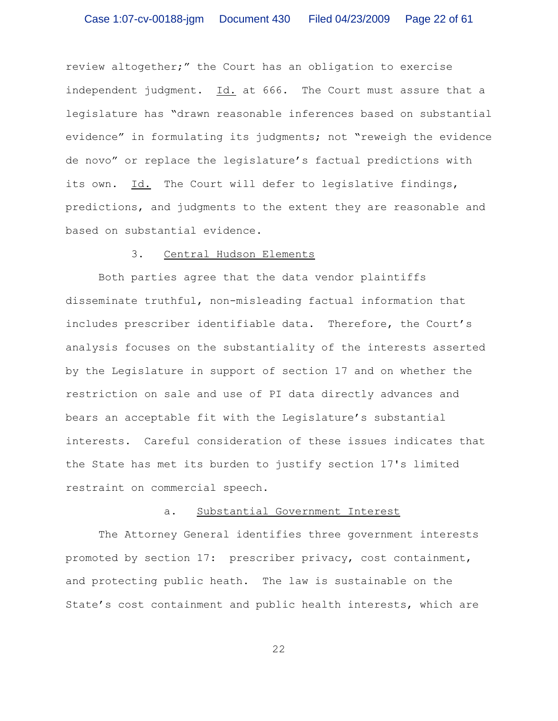review altogether;" the Court has an obligation to exercise independent judgment. Id. at 666. The Court must assure that a legislature has "drawn reasonable inferences based on substantial evidence" in formulating its judgments; not "reweigh the evidence de novo" or replace the legislature's factual predictions with its own. Id. The Court will defer to legislative findings, predictions, and judgments to the extent they are reasonable and based on substantial evidence.

## 3. Central Hudson Elements

Both parties agree that the data vendor plaintiffs disseminate truthful, non-misleading factual information that includes prescriber identifiable data. Therefore, the Court's analysis focuses on the substantiality of the interests asserted by the Legislature in support of section 17 and on whether the restriction on sale and use of PI data directly advances and bears an acceptable fit with the Legislature's substantial interests. Careful consideration of these issues indicates that the State has met its burden to justify section 17's limited restraint on commercial speech.

#### a. Substantial Government Interest

The Attorney General identifies three government interests promoted by section 17: prescriber privacy, cost containment, and protecting public heath. The law is sustainable on the State's cost containment and public health interests, which are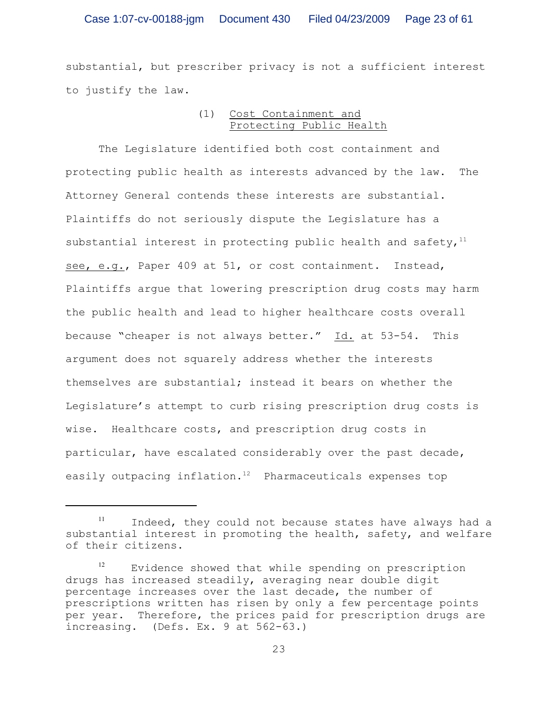substantial, but prescriber privacy is not a sufficient interest to justify the law.

## (1) Cost Containment and Protecting Public Health

The Legislature identified both cost containment and protecting public health as interests advanced by the law. The Attorney General contends these interests are substantial. Plaintiffs do not seriously dispute the Legislature has a substantial interest in protecting public health and safety, $11$ see, e.g., Paper 409 at 51, or cost containment. Instead, Plaintiffs argue that lowering prescription drug costs may harm the public health and lead to higher healthcare costs overall because "cheaper is not always better." Id. at 53-54. This argument does not squarely address whether the interests themselves are substantial; instead it bears on whether the Legislature's attempt to curb rising prescription drug costs is wise. Healthcare costs, and prescription drug costs in particular, have escalated considerably over the past decade, easily outpacing inflation.<sup>12</sup> Pharmaceuticals expenses top

Indeed, they could not because states have always had a substantial interest in promoting the health, safety, and welfare of their citizens.

 $12$  Evidence showed that while spending on prescription drugs has increased steadily, averaging near double digit percentage increases over the last decade, the number of prescriptions written has risen by only a few percentage points per year. Therefore, the prices paid for prescription drugs are increasing. (Defs. Ex. 9 at 562-63.)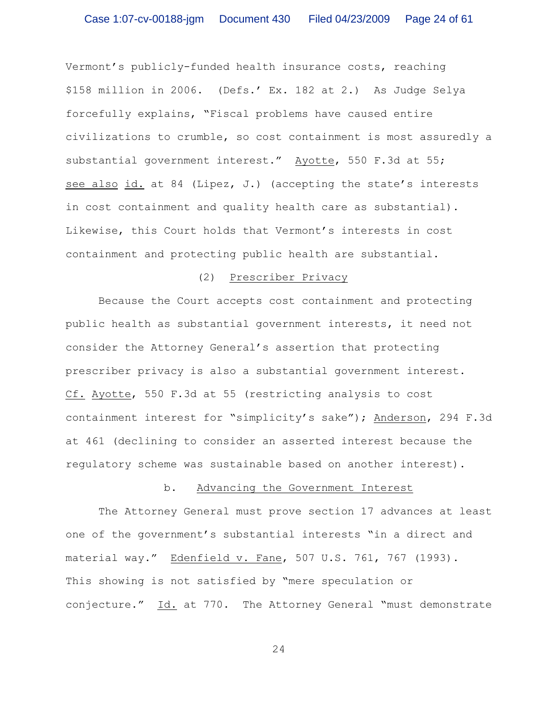Vermont's publicly-funded health insurance costs, reaching \$158 million in 2006. (Defs.' Ex. 182 at 2.) As Judge Selya forcefully explains, "Fiscal problems have caused entire civilizations to crumble, so cost containment is most assuredly a substantial government interest." Ayotte, 550 F.3d at 55; see also id. at 84 (Lipez, J.) (accepting the state's interests in cost containment and quality health care as substantial). Likewise, this Court holds that Vermont's interests in cost containment and protecting public health are substantial.

## (2) Prescriber Privacy

Because the Court accepts cost containment and protecting public health as substantial government interests, it need not consider the Attorney General's assertion that protecting prescriber privacy is also a substantial government interest. Cf. Ayotte, 550 F.3d at 55 (restricting analysis to cost containment interest for "simplicity's sake"); Anderson, 294 F.3d at 461 (declining to consider an asserted interest because the regulatory scheme was sustainable based on another interest).

## b. Advancing the Government Interest

The Attorney General must prove section 17 advances at least one of the government's substantial interests "in a direct and material way." Edenfield v. Fane, 507 U.S. 761, 767 (1993). This showing is not satisfied by "mere speculation or conjecture." Id. at 770. The Attorney General "must demonstrate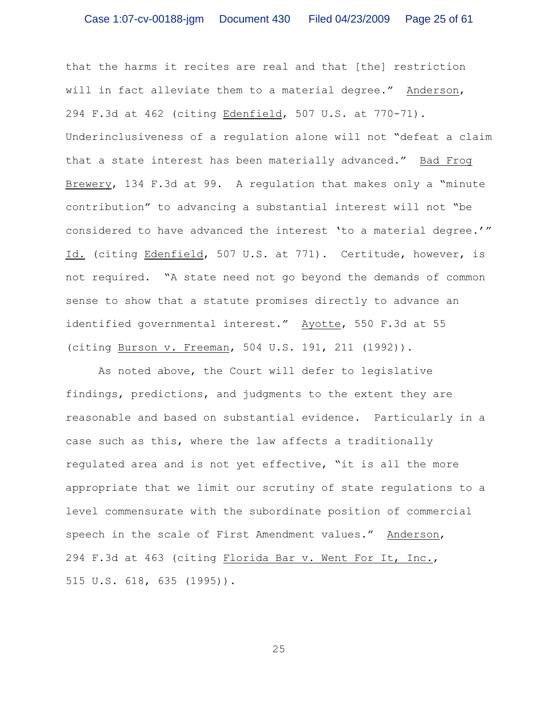that the harms it recites are real and that [the] restriction will in fact alleviate them to a material degree." Anderson, 294 F.3d at 462 (citing Edenfield, 507 U.S. at 770-71). Underinclusiveness of a regulation alone will not "defeat a claim that a state interest has been materially advanced." Bad Frog Brewery, 134 F.3d at 99. A regulation that makes only a "minute contribution" to advancing a substantial interest will not "be considered to have advanced the interest 'to a material degree.'" Id. (citing Edenfield, 507 U.S. at 771). Certitude, however, is not required. "A state need not go beyond the demands of common sense to show that a statute promises directly to advance an identified governmental interest." Ayotte, 550 F.3d at 55 (citing Burson v. Freeman, 504 U.S. 191, 211 (1992)).

As noted above, the Court will defer to legislative findings, predictions, and judgments to the extent they are reasonable and based on substantial evidence. Particularly in a case such as this, where the law affects a traditionally regulated area and is not yet effective, "it is all the more appropriate that we limit our scrutiny of state regulations to a level commensurate with the subordinate position of commercial speech in the scale of First Amendment values." Anderson, 294 F.3d at 463 (citing Florida Bar v. Went For It, Inc., 515 U.S. 618, 635 (1995)).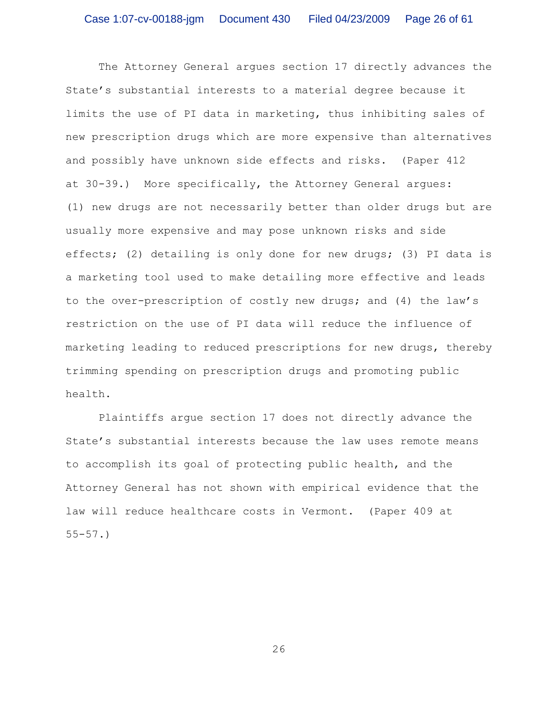The Attorney General argues section 17 directly advances the State's substantial interests to a material degree because it limits the use of PI data in marketing, thus inhibiting sales of new prescription drugs which are more expensive than alternatives and possibly have unknown side effects and risks. (Paper 412 at 30-39.) More specifically, the Attorney General argues: (1) new drugs are not necessarily better than older drugs but are usually more expensive and may pose unknown risks and side effects; (2) detailing is only done for new drugs; (3) PI data is a marketing tool used to make detailing more effective and leads to the over-prescription of costly new drugs; and (4) the law's restriction on the use of PI data will reduce the influence of marketing leading to reduced prescriptions for new drugs, thereby trimming spending on prescription drugs and promoting public health.

Plaintiffs argue section 17 does not directly advance the State's substantial interests because the law uses remote means to accomplish its goal of protecting public health, and the Attorney General has not shown with empirical evidence that the law will reduce healthcare costs in Vermont. (Paper 409 at 55-57.)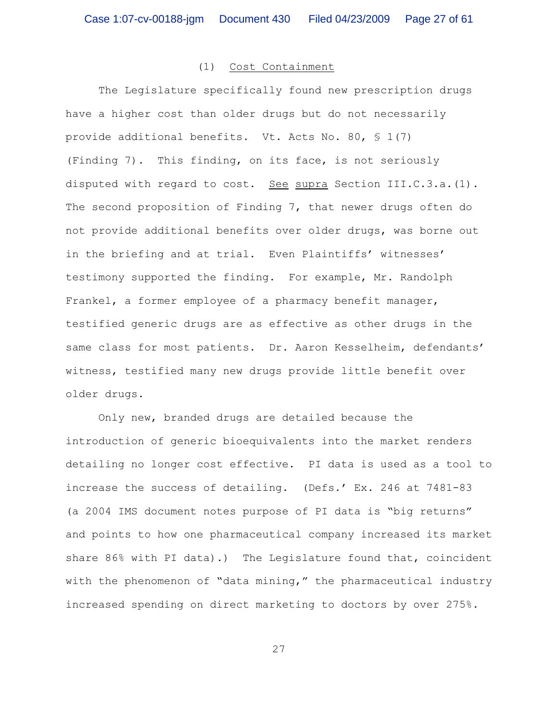### (1) Cost Containment

The Legislature specifically found new prescription drugs have a higher cost than older drugs but do not necessarily provide additional benefits. Vt. Acts No. 80, § 1(7) (Finding 7). This finding, on its face, is not seriously disputed with regard to cost. See supra Section III.C.3.a.(1). The second proposition of Finding 7, that newer drugs often do not provide additional benefits over older drugs, was borne out in the briefing and at trial. Even Plaintiffs' witnesses' testimony supported the finding. For example, Mr. Randolph Frankel, a former employee of a pharmacy benefit manager, testified generic drugs are as effective as other drugs in the same class for most patients. Dr. Aaron Kesselheim, defendants' witness, testified many new drugs provide little benefit over older drugs.

Only new, branded drugs are detailed because the introduction of generic bioequivalents into the market renders detailing no longer cost effective. PI data is used as a tool to increase the success of detailing. (Defs.' Ex. 246 at 7481-83 (a 2004 IMS document notes purpose of PI data is "big returns" and points to how one pharmaceutical company increased its market share 86% with PI data).) The Legislature found that, coincident with the phenomenon of "data mining," the pharmaceutical industry increased spending on direct marketing to doctors by over 275%.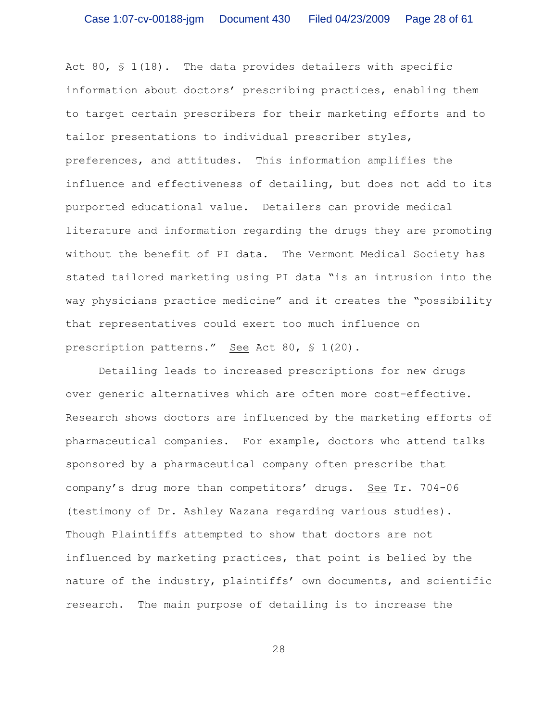Act 80,  $\frac{1}{18}$ . The data provides detailers with specific information about doctors' prescribing practices, enabling them to target certain prescribers for their marketing efforts and to tailor presentations to individual prescriber styles, preferences, and attitudes. This information amplifies the influence and effectiveness of detailing, but does not add to its purported educational value. Detailers can provide medical literature and information regarding the drugs they are promoting without the benefit of PI data. The Vermont Medical Society has stated tailored marketing using PI data "is an intrusion into the way physicians practice medicine" and it creates the "possibility that representatives could exert too much influence on prescription patterns." See Act 80, § 1(20).

Detailing leads to increased prescriptions for new drugs over generic alternatives which are often more cost-effective. Research shows doctors are influenced by the marketing efforts of pharmaceutical companies. For example, doctors who attend talks sponsored by a pharmaceutical company often prescribe that company's drug more than competitors' drugs. See Tr. 704-06 (testimony of Dr. Ashley Wazana regarding various studies). Though Plaintiffs attempted to show that doctors are not influenced by marketing practices, that point is belied by the nature of the industry, plaintiffs' own documents, and scientific research. The main purpose of detailing is to increase the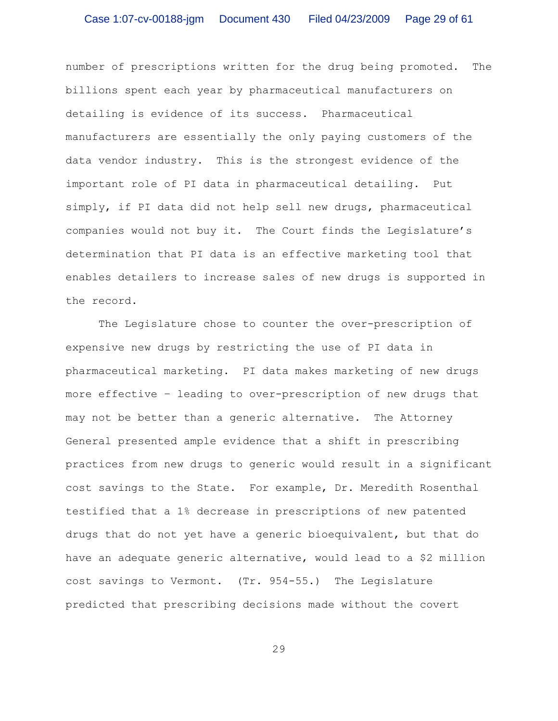number of prescriptions written for the drug being promoted. The billions spent each year by pharmaceutical manufacturers on detailing is evidence of its success. Pharmaceutical manufacturers are essentially the only paying customers of the data vendor industry. This is the strongest evidence of the important role of PI data in pharmaceutical detailing. Put simply, if PI data did not help sell new drugs, pharmaceutical companies would not buy it. The Court finds the Legislature's determination that PI data is an effective marketing tool that enables detailers to increase sales of new drugs is supported in the record.

The Legislature chose to counter the over-prescription of expensive new drugs by restricting the use of PI data in pharmaceutical marketing. PI data makes marketing of new drugs more effective – leading to over-prescription of new drugs that may not be better than a generic alternative. The Attorney General presented ample evidence that a shift in prescribing practices from new drugs to generic would result in a significant cost savings to the State. For example, Dr. Meredith Rosenthal testified that a 1% decrease in prescriptions of new patented drugs that do not yet have a generic bioequivalent, but that do have an adequate generic alternative, would lead to a \$2 million cost savings to Vermont. (Tr. 954-55.) The Legislature predicted that prescribing decisions made without the covert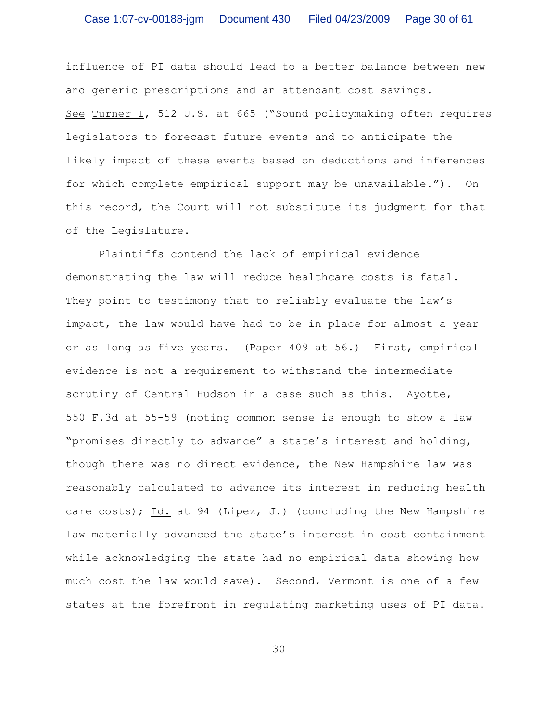influence of PI data should lead to a better balance between new and generic prescriptions and an attendant cost savings. See Turner I, 512 U.S. at 665 ("Sound policymaking often requires legislators to forecast future events and to anticipate the likely impact of these events based on deductions and inferences for which complete empirical support may be unavailable."). On this record, the Court will not substitute its judgment for that of the Legislature.

Plaintiffs contend the lack of empirical evidence demonstrating the law will reduce healthcare costs is fatal. They point to testimony that to reliably evaluate the law's impact, the law would have had to be in place for almost a year or as long as five years. (Paper 409 at 56.) First, empirical evidence is not a requirement to withstand the intermediate scrutiny of Central Hudson in a case such as this. Ayotte, 550 F.3d at 55-59 (noting common sense is enough to show a law "promises directly to advance" a state's interest and holding, though there was no direct evidence, the New Hampshire law was reasonably calculated to advance its interest in reducing health care costs); Id. at 94 (Lipez, J.) (concluding the New Hampshire law materially advanced the state's interest in cost containment while acknowledging the state had no empirical data showing how much cost the law would save). Second, Vermont is one of a few states at the forefront in regulating marketing uses of PI data.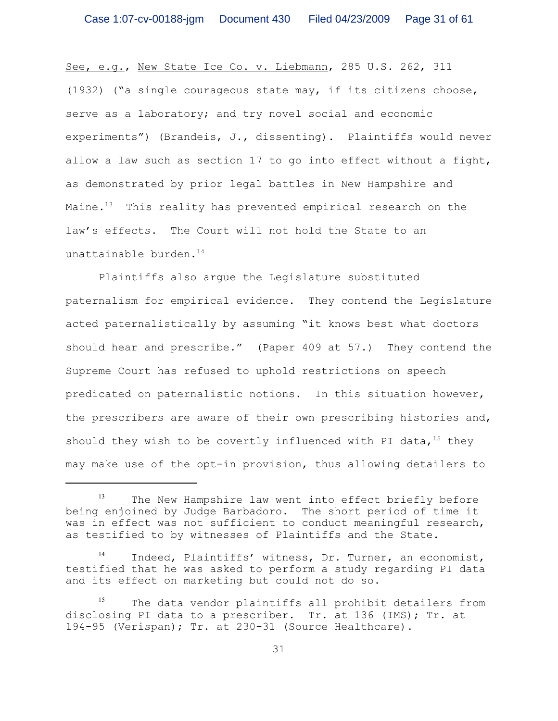See, e.g., New State Ice Co. v. Liebmann, 285 U.S. 262, 311 (1932) ("a single courageous state may, if its citizens choose, serve as a laboratory; and try novel social and economic experiments") (Brandeis, J., dissenting). Plaintiffs would never allow a law such as section 17 to go into effect without a fight, as demonstrated by prior legal battles in New Hampshire and Maine. $13$  This reality has prevented empirical research on the law's effects. The Court will not hold the State to an unattainable burden.<sup>14</sup>

Plaintiffs also argue the Legislature substituted paternalism for empirical evidence. They contend the Legislature acted paternalistically by assuming "it knows best what doctors should hear and prescribe." (Paper 409 at 57.) They contend the Supreme Court has refused to uphold restrictions on speech predicated on paternalistic notions. In this situation however, the prescribers are aware of their own prescribing histories and, should they wish to be covertly influenced with PI data,  $15$  they may make use of the opt-in provision, thus allowing detailers to

 $14$  Indeed, Plaintiffs' witness, Dr. Turner, an economist, testified that he was asked to perform a study regarding PI data and its effect on marketing but could not do so.

 $13$  The New Hampshire law went into effect briefly before being enjoined by Judge Barbadoro. The short period of time it was in effect was not sufficient to conduct meaningful research, as testified to by witnesses of Plaintiffs and the State.

 $15$  The data vendor plaintiffs all prohibit detailers from disclosing PI data to a prescriber. Tr. at 136 (IMS); Tr. at 194-95 (Verispan); Tr. at 230-31 (Source Healthcare).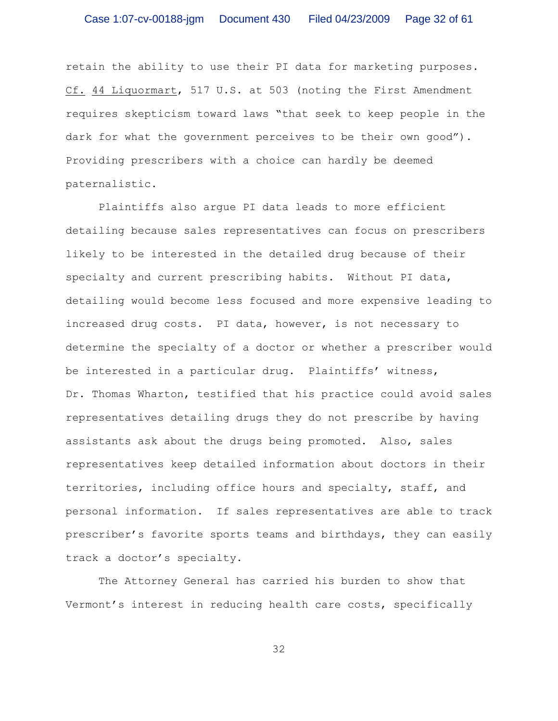retain the ability to use their PI data for marketing purposes. Cf. 44 Liquormart, 517 U.S. at 503 (noting the First Amendment requires skepticism toward laws "that seek to keep people in the dark for what the government perceives to be their own good"). Providing prescribers with a choice can hardly be deemed paternalistic.

Plaintiffs also argue PI data leads to more efficient detailing because sales representatives can focus on prescribers likely to be interested in the detailed drug because of their specialty and current prescribing habits. Without PI data, detailing would become less focused and more expensive leading to increased drug costs. PI data, however, is not necessary to determine the specialty of a doctor or whether a prescriber would be interested in a particular drug. Plaintiffs' witness, Dr. Thomas Wharton, testified that his practice could avoid sales representatives detailing drugs they do not prescribe by having assistants ask about the drugs being promoted. Also, sales representatives keep detailed information about doctors in their territories, including office hours and specialty, staff, and personal information. If sales representatives are able to track prescriber's favorite sports teams and birthdays, they can easily track a doctor's specialty.

The Attorney General has carried his burden to show that Vermont's interest in reducing health care costs, specifically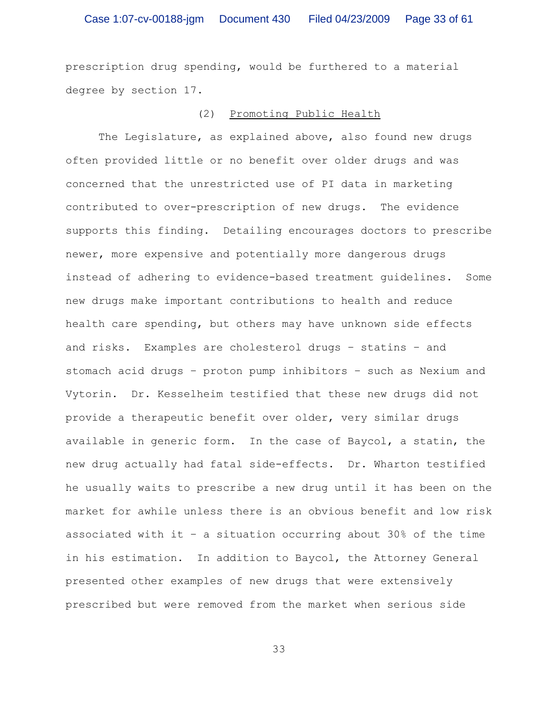prescription drug spending, would be furthered to a material degree by section 17.

## (2) Promoting Public Health

The Legislature, as explained above, also found new drugs often provided little or no benefit over older drugs and was concerned that the unrestricted use of PI data in marketing contributed to over-prescription of new drugs. The evidence supports this finding. Detailing encourages doctors to prescribe newer, more expensive and potentially more dangerous drugs instead of adhering to evidence-based treatment guidelines. Some new drugs make important contributions to health and reduce health care spending, but others may have unknown side effects and risks. Examples are cholesterol drugs – statins – and stomach acid drugs – proton pump inhibitors – such as Nexium and Vytorin. Dr. Kesselheim testified that these new drugs did not provide a therapeutic benefit over older, very similar drugs available in generic form. In the case of Baycol, a statin, the new drug actually had fatal side-effects. Dr. Wharton testified he usually waits to prescribe a new drug until it has been on the market for awhile unless there is an obvious benefit and low risk associated with it – a situation occurring about 30% of the time in his estimation. In addition to Baycol, the Attorney General presented other examples of new drugs that were extensively prescribed but were removed from the market when serious side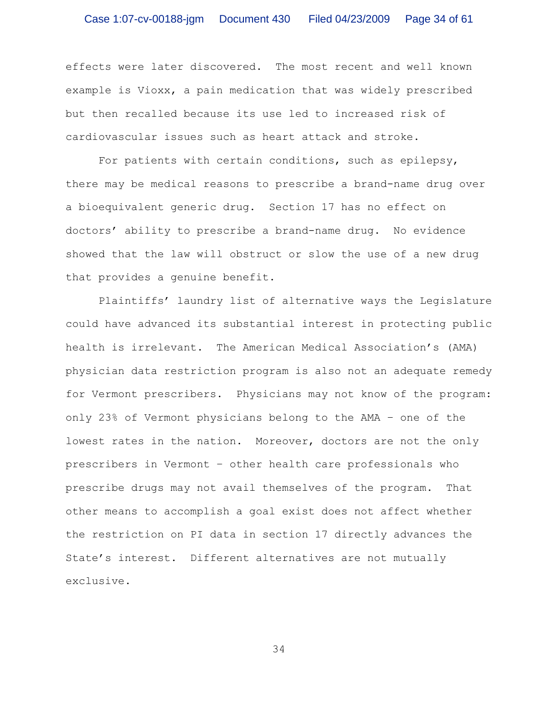effects were later discovered. The most recent and well known example is Vioxx, a pain medication that was widely prescribed but then recalled because its use led to increased risk of cardiovascular issues such as heart attack and stroke.

For patients with certain conditions, such as epilepsy, there may be medical reasons to prescribe a brand-name drug over a bioequivalent generic drug. Section 17 has no effect on doctors' ability to prescribe a brand-name drug. No evidence showed that the law will obstruct or slow the use of a new drug that provides a genuine benefit.

Plaintiffs' laundry list of alternative ways the Legislature could have advanced its substantial interest in protecting public health is irrelevant. The American Medical Association's (AMA) physician data restriction program is also not an adequate remedy for Vermont prescribers. Physicians may not know of the program: only 23% of Vermont physicians belong to the AMA – one of the lowest rates in the nation. Moreover, doctors are not the only prescribers in Vermont – other health care professionals who prescribe drugs may not avail themselves of the program. That other means to accomplish a goal exist does not affect whether the restriction on PI data in section 17 directly advances the State's interest. Different alternatives are not mutually exclusive.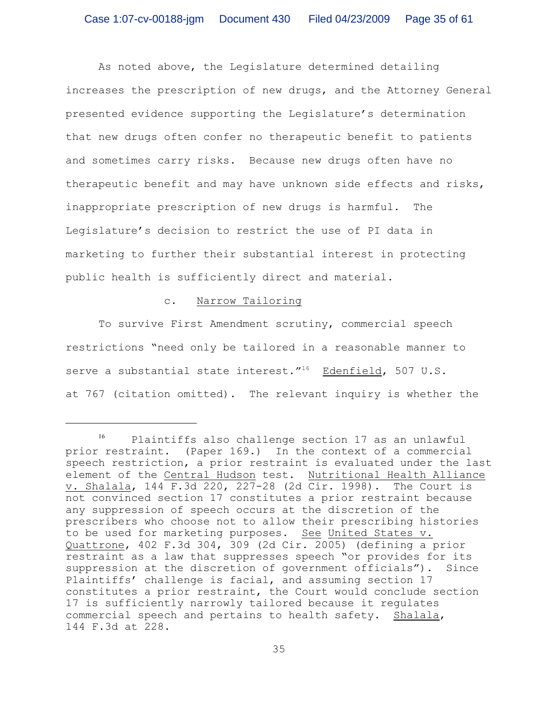As noted above, the Legislature determined detailing increases the prescription of new drugs, and the Attorney General presented evidence supporting the Legislature's determination that new drugs often confer no therapeutic benefit to patients and sometimes carry risks. Because new drugs often have no therapeutic benefit and may have unknown side effects and risks, inappropriate prescription of new drugs is harmful. The Legislature's decision to restrict the use of PI data in marketing to further their substantial interest in protecting public health is sufficiently direct and material.

## c. Narrow Tailoring

To survive First Amendment scrutiny, commercial speech restrictions "need only be tailored in a reasonable manner to serve a substantial state interest." $16$  Edenfield, 507 U.S. at 767 (citation omitted). The relevant inquiry is whether the

 $^{16}$  Plaintiffs also challenge section 17 as an unlawful prior restraint. (Paper 169.) In the context of a commercial speech restriction, a prior restraint is evaluated under the last element of the Central Hudson test. Nutritional Health Alliance v. Shalala, 144 F.3d 220, 227-28 (2d Cir. 1998). The Court is not convinced section 17 constitutes a prior restraint because any suppression of speech occurs at the discretion of the prescribers who choose not to allow their prescribing histories to be used for marketing purposes. See United States v. Quattrone, 402 F.3d 304, 309 (2d Cir. 2005) (defining a prior restraint as a law that suppresses speech "or provides for its suppression at the discretion of government officials"). Since Plaintiffs' challenge is facial, and assuming section 17 constitutes a prior restraint, the Court would conclude section 17 is sufficiently narrowly tailored because it regulates commercial speech and pertains to health safety. Shalala, 144 F.3d at 228.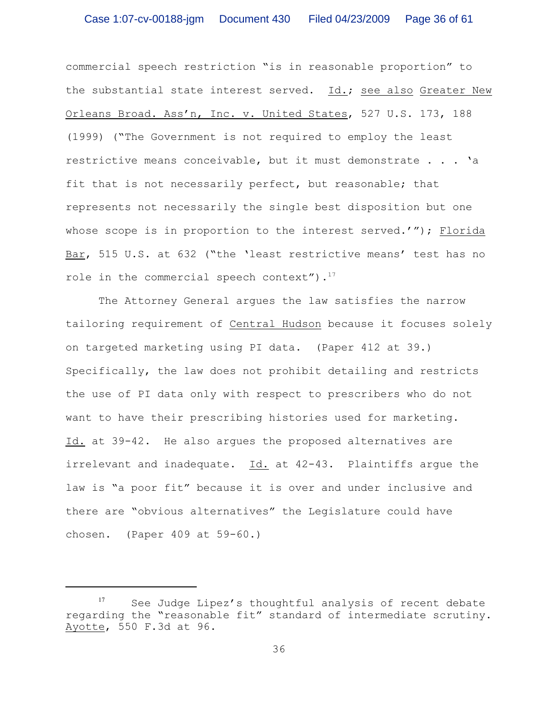commercial speech restriction "is in reasonable proportion" to the substantial state interest served. Id.; see also Greater New Orleans Broad. Ass'n, Inc. v. United States, 527 U.S. 173, 188 (1999) ("The Government is not required to employ the least restrictive means conceivable, but it must demonstrate . . . 'a fit that is not necessarily perfect, but reasonable; that represents not necessarily the single best disposition but one whose scope is in proportion to the interest served.'"); Florida Bar, 515 U.S. at 632 ("the 'least restrictive means' test has no role in the commercial speech context"). $17$ 

The Attorney General argues the law satisfies the narrow tailoring requirement of Central Hudson because it focuses solely on targeted marketing using PI data. (Paper 412 at 39.) Specifically, the law does not prohibit detailing and restricts the use of PI data only with respect to prescribers who do not want to have their prescribing histories used for marketing. Id. at 39-42. He also argues the proposed alternatives are irrelevant and inadequate. Id. at 42-43. Plaintiffs argue the law is "a poor fit" because it is over and under inclusive and there are "obvious alternatives" the Legislature could have chosen. (Paper 409 at 59-60.)

See Judge Lipez's thoughtful analysis of recent debate regarding the "reasonable fit" standard of intermediate scrutiny. Ayotte, 550 F.3d at 96.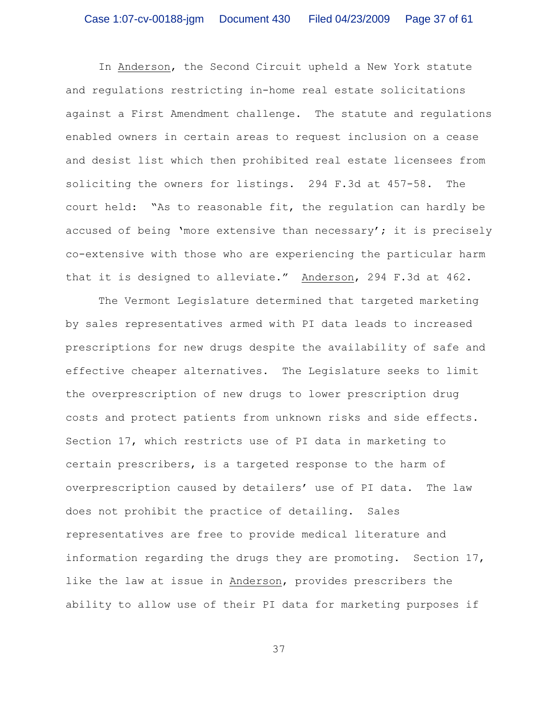In Anderson, the Second Circuit upheld a New York statute and regulations restricting in-home real estate solicitations against a First Amendment challenge. The statute and regulations enabled owners in certain areas to request inclusion on a cease and desist list which then prohibited real estate licensees from soliciting the owners for listings. 294 F.3d at 457-58. The court held: "As to reasonable fit, the regulation can hardly be accused of being 'more extensive than necessary'; it is precisely co-extensive with those who are experiencing the particular harm that it is designed to alleviate." Anderson, 294 F.3d at 462.

The Vermont Legislature determined that targeted marketing by sales representatives armed with PI data leads to increased prescriptions for new drugs despite the availability of safe and effective cheaper alternatives. The Legislature seeks to limit the overprescription of new drugs to lower prescription drug costs and protect patients from unknown risks and side effects. Section 17, which restricts use of PI data in marketing to certain prescribers, is a targeted response to the harm of overprescription caused by detailers' use of PI data. The law does not prohibit the practice of detailing. Sales representatives are free to provide medical literature and information regarding the drugs they are promoting. Section 17, like the law at issue in Anderson, provides prescribers the ability to allow use of their PI data for marketing purposes if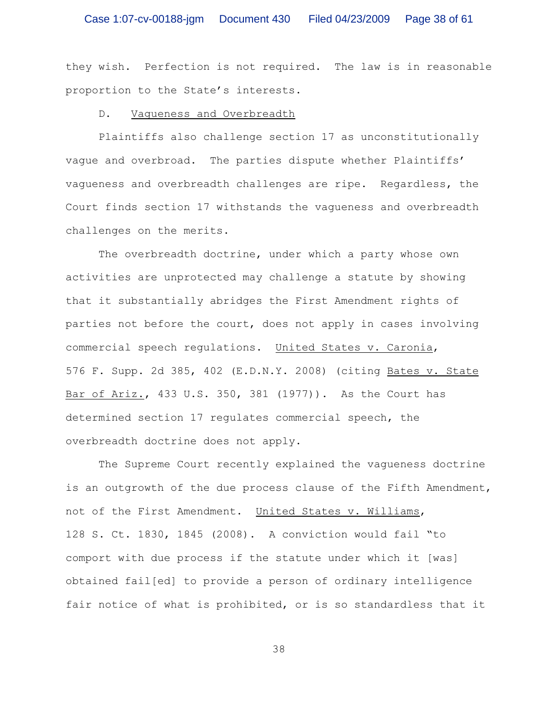they wish. Perfection is not required. The law is in reasonable proportion to the State's interests.

## D. Vagueness and Overbreadth

Plaintiffs also challenge section 17 as unconstitutionally vague and overbroad. The parties dispute whether Plaintiffs' vagueness and overbreadth challenges are ripe. Regardless, the Court finds section 17 withstands the vagueness and overbreadth challenges on the merits.

The overbreadth doctrine, under which a party whose own activities are unprotected may challenge a statute by showing that it substantially abridges the First Amendment rights of parties not before the court, does not apply in cases involving commercial speech regulations. United States v. Caronia, 576 F. Supp. 2d 385, 402 (E.D.N.Y. 2008) (citing Bates v. State Bar of Ariz., 433 U.S. 350, 381 (1977)). As the Court has determined section 17 regulates commercial speech, the overbreadth doctrine does not apply.

The Supreme Court recently explained the vagueness doctrine is an outgrowth of the due process clause of the Fifth Amendment, not of the First Amendment. United States v. Williams, 128 S. Ct. 1830, 1845 (2008). A conviction would fail "to comport with due process if the statute under which it [was] obtained fail[ed] to provide a person of ordinary intelligence fair notice of what is prohibited, or is so standardless that it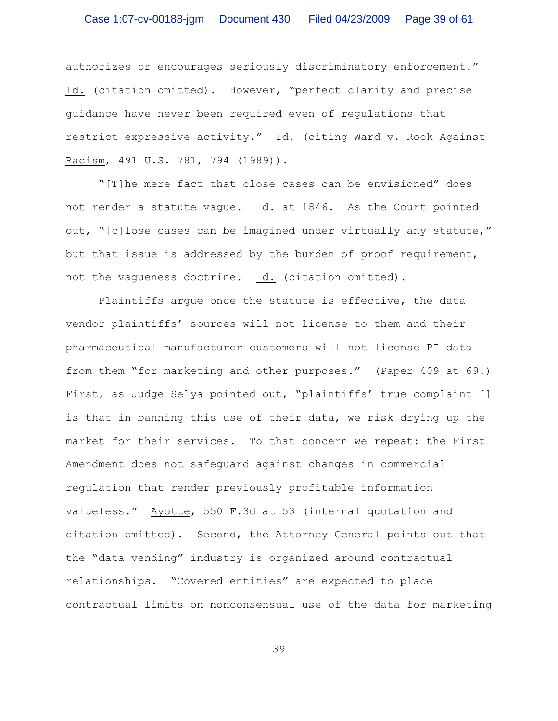authorizes or encourages seriously discriminatory enforcement." Id. (citation omitted). However, "perfect clarity and precise guidance have never been required even of regulations that restrict expressive activity." Id. (citing Ward v. Rock Against Racism, 491 U.S. 781, 794 (1989)).

"[T]he mere fact that close cases can be envisioned" does not render a statute vague. Id. at 1846. As the Court pointed out, "[c]lose cases can be imagined under virtually any statute," but that issue is addressed by the burden of proof requirement, not the vagueness doctrine. Id. (citation omitted).

Plaintiffs argue once the statute is effective, the data vendor plaintiffs' sources will not license to them and their pharmaceutical manufacturer customers will not license PI data from them "for marketing and other purposes." (Paper 409 at 69.) First, as Judge Selya pointed out, "plaintiffs' true complaint [] is that in banning this use of their data, we risk drying up the market for their services. To that concern we repeat: the First Amendment does not safeguard against changes in commercial regulation that render previously profitable information valueless." Ayotte, 550 F.3d at 53 (internal quotation and citation omitted). Second, the Attorney General points out that the "data vending" industry is organized around contractual relationships. "Covered entities" are expected to place contractual limits on nonconsensual use of the data for marketing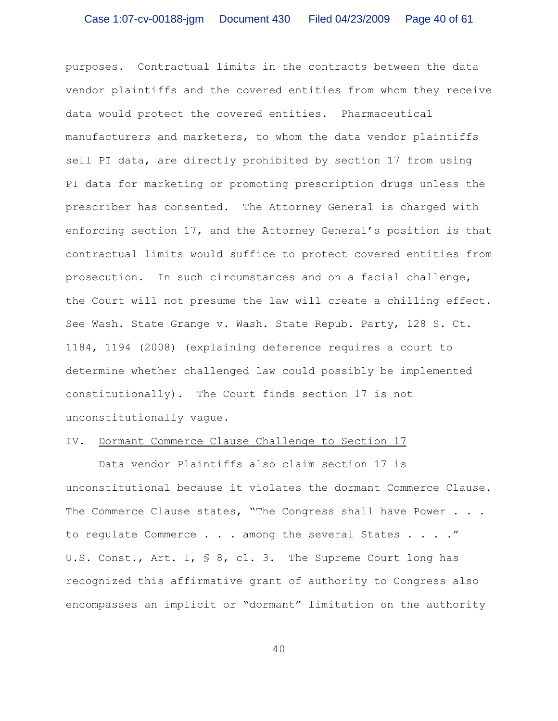purposes. Contractual limits in the contracts between the data vendor plaintiffs and the covered entities from whom they receive data would protect the covered entities. Pharmaceutical manufacturers and marketers, to whom the data vendor plaintiffs sell PI data, are directly prohibited by section 17 from using PI data for marketing or promoting prescription drugs unless the prescriber has consented. The Attorney General is charged with enforcing section 17, and the Attorney General's position is that contractual limits would suffice to protect covered entities from prosecution. In such circumstances and on a facial challenge, the Court will not presume the law will create a chilling effect. See Wash. State Grange v. Wash. State Repub. Party, 128 S. Ct. 1184, 1194 (2008) (explaining deference requires a court to determine whether challenged law could possibly be implemented constitutionally). The Court finds section 17 is not unconstitutionally vague.

# IV. Dormant Commerce Clause Challenge to Section 17

Data vendor Plaintiffs also claim section 17 is unconstitutional because it violates the dormant Commerce Clause. The Commerce Clause states, "The Congress shall have Power . . . to regulate Commerce . . . among the several States . . . ." U.S. Const., Art. I, § 8, cl. 3. The Supreme Court long has recognized this affirmative grant of authority to Congress also encompasses an implicit or "dormant" limitation on the authority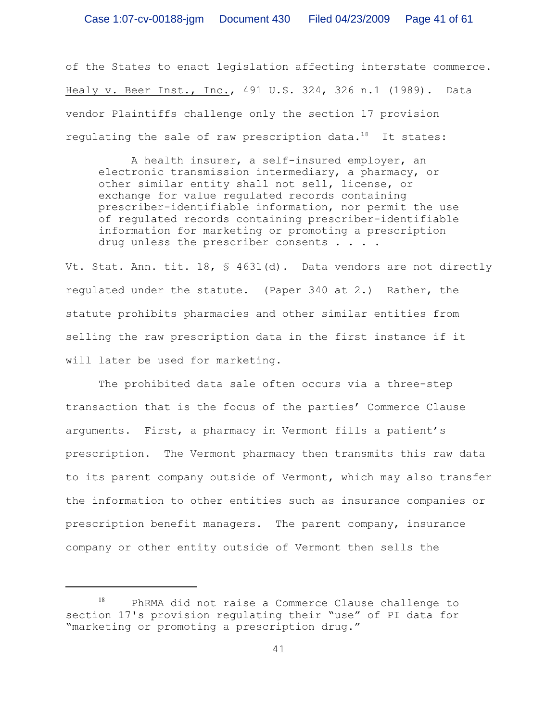of the States to enact legislation affecting interstate commerce. Healy v. Beer Inst., Inc., 491 U.S. 324, 326 n.1 (1989). Data vendor Plaintiffs challenge only the section 17 provision regulating the sale of raw prescription data. $18$  It states:

A health insurer, a self-insured employer, an electronic transmission intermediary, a pharmacy, or other similar entity shall not sell, license, or exchange for value regulated records containing prescriber-identifiable information, nor permit the use of regulated records containing prescriber-identifiable information for marketing or promoting a prescription drug unless the prescriber consents . . . .

Vt. Stat. Ann. tit.  $18,$   $\frac{6}{31}$  (d). Data vendors are not directly regulated under the statute. (Paper 340 at 2.) Rather, the statute prohibits pharmacies and other similar entities from selling the raw prescription data in the first instance if it will later be used for marketing.

The prohibited data sale often occurs via a three-step transaction that is the focus of the parties' Commerce Clause arguments. First, a pharmacy in Vermont fills a patient's prescription. The Vermont pharmacy then transmits this raw data to its parent company outside of Vermont, which may also transfer the information to other entities such as insurance companies or prescription benefit managers. The parent company, insurance company or other entity outside of Vermont then sells the

PhRMA did not raise a Commerce Clause challenge to section 17's provision regulating their "use" of PI data for "marketing or promoting a prescription drug."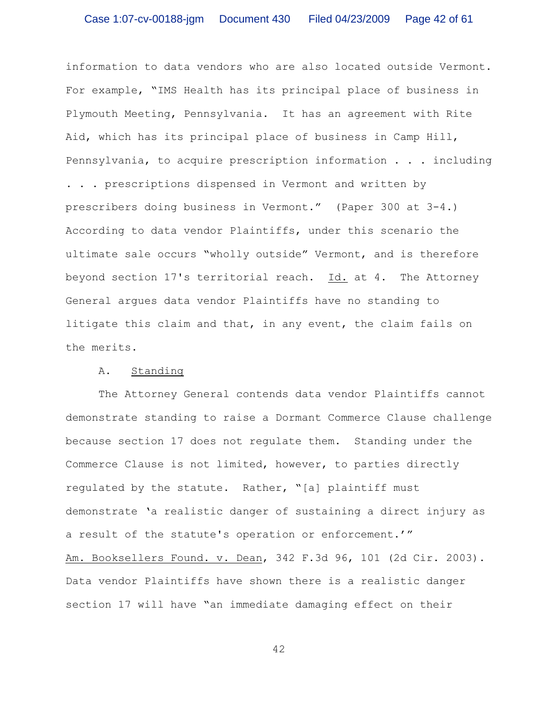information to data vendors who are also located outside Vermont. For example, "IMS Health has its principal place of business in Plymouth Meeting, Pennsylvania. It has an agreement with Rite Aid, which has its principal place of business in Camp Hill, Pennsylvania, to acquire prescription information . . . including . . . prescriptions dispensed in Vermont and written by prescribers doing business in Vermont." (Paper 300 at 3-4.) According to data vendor Plaintiffs, under this scenario the ultimate sale occurs "wholly outside" Vermont, and is therefore beyond section 17's territorial reach. Id. at 4. The Attorney General argues data vendor Plaintiffs have no standing to litigate this claim and that, in any event, the claim fails on the merits.

# A. Standing

The Attorney General contends data vendor Plaintiffs cannot demonstrate standing to raise a Dormant Commerce Clause challenge because section 17 does not regulate them. Standing under the Commerce Clause is not limited, however, to parties directly regulated by the statute. Rather, "[a] plaintiff must demonstrate 'a realistic danger of sustaining a direct injury as a result of the statute's operation or enforcement.'" Am. Booksellers Found. v. Dean, 342 F.3d 96, 101 (2d Cir. 2003). Data vendor Plaintiffs have shown there is a realistic danger section 17 will have "an immediate damaging effect on their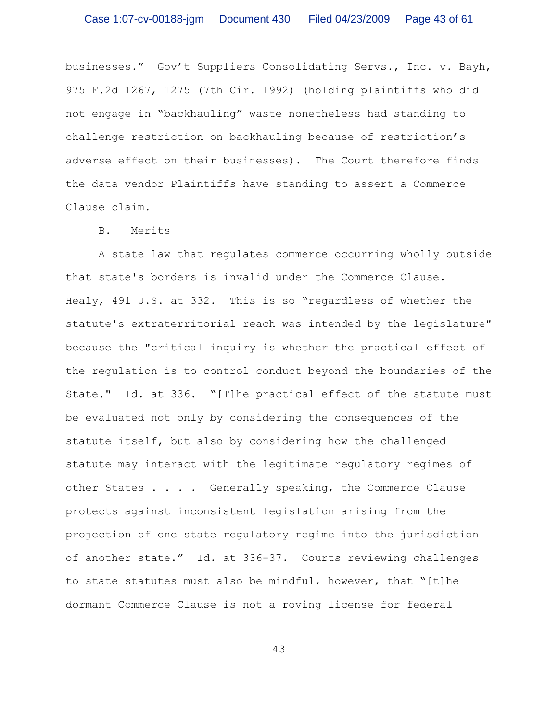businesses." Gov't Suppliers Consolidating Servs., Inc. v. Bayh, 975 F.2d 1267, 1275 (7th Cir. 1992) (holding plaintiffs who did not engage in "backhauling" waste nonetheless had standing to challenge restriction on backhauling because of restriction's adverse effect on their businesses). The Court therefore finds the data vendor Plaintiffs have standing to assert a Commerce Clause claim.

## B. Merits

A state law that regulates commerce occurring wholly outside that state's borders is invalid under the Commerce Clause. Healy, 491 U.S. at 332. This is so "regardless of whether the statute's extraterritorial reach was intended by the legislature" because the "critical inquiry is whether the practical effect of the regulation is to control conduct beyond the boundaries of the State." Id. at 336. "[T]he practical effect of the statute must be evaluated not only by considering the consequences of the statute itself, but also by considering how the challenged statute may interact with the legitimate regulatory regimes of other States . . . . Generally speaking, the Commerce Clause protects against inconsistent legislation arising from the projection of one state regulatory regime into the jurisdiction of another state." Id. at 336-37. Courts reviewing challenges to state statutes must also be mindful, however, that "[t]he dormant Commerce Clause is not a roving license for federal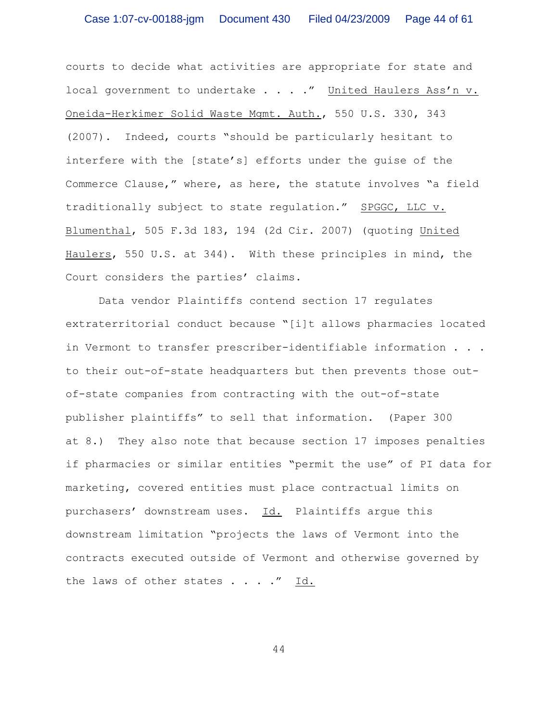courts to decide what activities are appropriate for state and local government to undertake . . . ." United Haulers Ass'n v. Oneida-Herkimer Solid Waste Mgmt. Auth., 550 U.S. 330, 343 (2007). Indeed, courts "should be particularly hesitant to interfere with the [state's] efforts under the guise of the Commerce Clause," where, as here, the statute involves "a field traditionally subject to state regulation." SPGGC, LLC v. Blumenthal, 505 F.3d 183, 194 (2d Cir. 2007) (quoting United Haulers, 550 U.S. at 344). With these principles in mind, the Court considers the parties' claims.

Data vendor Plaintiffs contend section 17 regulates extraterritorial conduct because "[i]t allows pharmacies located in Vermont to transfer prescriber-identifiable information . . . to their out-of-state headquarters but then prevents those outof-state companies from contracting with the out-of-state publisher plaintiffs" to sell that information. (Paper 300 at 8.) They also note that because section 17 imposes penalties if pharmacies or similar entities "permit the use" of PI data for marketing, covered entities must place contractual limits on purchasers' downstream uses. Id. Plaintiffs argue this downstream limitation "projects the laws of Vermont into the contracts executed outside of Vermont and otherwise governed by the laws of other states . . . ." Id.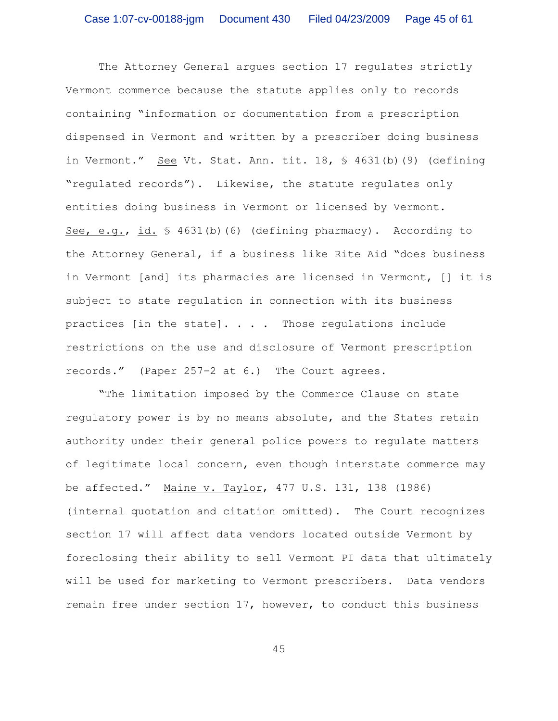The Attorney General argues section 17 regulates strictly Vermont commerce because the statute applies only to records containing "information or documentation from a prescription dispensed in Vermont and written by a prescriber doing business in Vermont." See Vt. Stat. Ann. tit. 18, § 4631(b)(9) (defining "regulated records"). Likewise, the statute regulates only entities doing business in Vermont or licensed by Vermont. See, e.g., id. § 4631(b)(6) (defining pharmacy). According to the Attorney General, if a business like Rite Aid "does business in Vermont [and] its pharmacies are licensed in Vermont, [] it is subject to state regulation in connection with its business practices [in the state]. . . . Those regulations include restrictions on the use and disclosure of Vermont prescription records." (Paper 257-2 at 6.) The Court agrees.

"The limitation imposed by the Commerce Clause on state regulatory power is by no means absolute, and the States retain authority under their general police powers to regulate matters of legitimate local concern, even though interstate commerce may be affected." Maine v. Taylor, 477 U.S. 131, 138 (1986) (internal quotation and citation omitted). The Court recognizes section 17 will affect data vendors located outside Vermont by foreclosing their ability to sell Vermont PI data that ultimately will be used for marketing to Vermont prescribers. Data vendors remain free under section 17, however, to conduct this business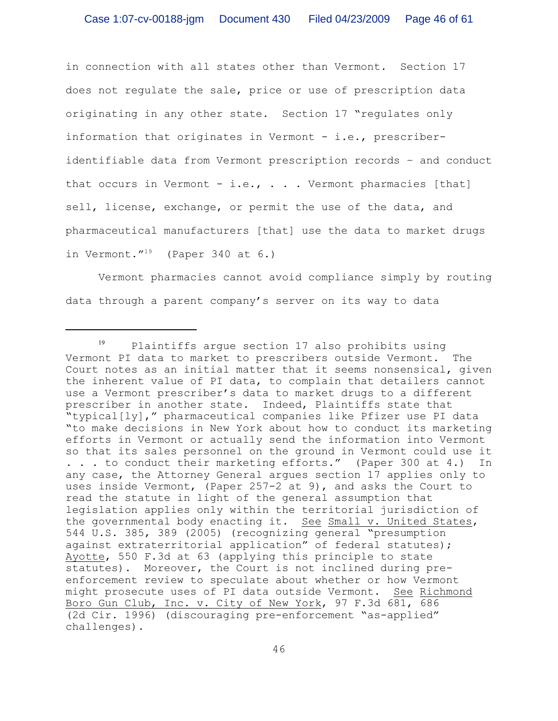in connection with all states other than Vermont. Section 17 does not regulate the sale, price or use of prescription data originating in any other state. Section 17 "regulates only information that originates in Vermont  $-$  i.e., prescriberidentifiable data from Vermont prescription records – and conduct that occurs in Vermont - i.e.,  $\ldots$  . Vermont pharmacies [that] sell, license, exchange, or permit the use of the data, and pharmaceutical manufacturers [that] use the data to market drugs in Vermont." $19$  (Paper 340 at 6.)

Vermont pharmacies cannot avoid compliance simply by routing data through a parent company's server on its way to data

 $P19$  Plaintiffs argue section 17 also prohibits using Vermont PI data to market to prescribers outside Vermont. The Court notes as an initial matter that it seems nonsensical, given the inherent value of PI data, to complain that detailers cannot use a Vermont prescriber's data to market drugs to a different prescriber in another state. Indeed, Plaintiffs state that "typical[ly]," pharmaceutical companies like Pfizer use PI data "to make decisions in New York about how to conduct its marketing efforts in Vermont or actually send the information into Vermont so that its sales personnel on the ground in Vermont could use it . . . to conduct their marketing efforts." (Paper 300 at 4.) In any case, the Attorney General argues section 17 applies only to uses inside Vermont, (Paper 257-2 at 9), and asks the Court to read the statute in light of the general assumption that legislation applies only within the territorial jurisdiction of the governmental body enacting it. See Small v. United States, 544 U.S. 385, 389 (2005) (recognizing general "presumption against extraterritorial application" of federal statutes); Ayotte, 550 F.3d at 63 (applying this principle to state statutes). Moreover, the Court is not inclined during preenforcement review to speculate about whether or how Vermont might prosecute uses of PI data outside Vermont. See Richmond Boro Gun Club, Inc. v. City of New York, 97 F.3d 681, 686 (2d Cir. 1996) (discouraging pre-enforcement "as-applied" challenges).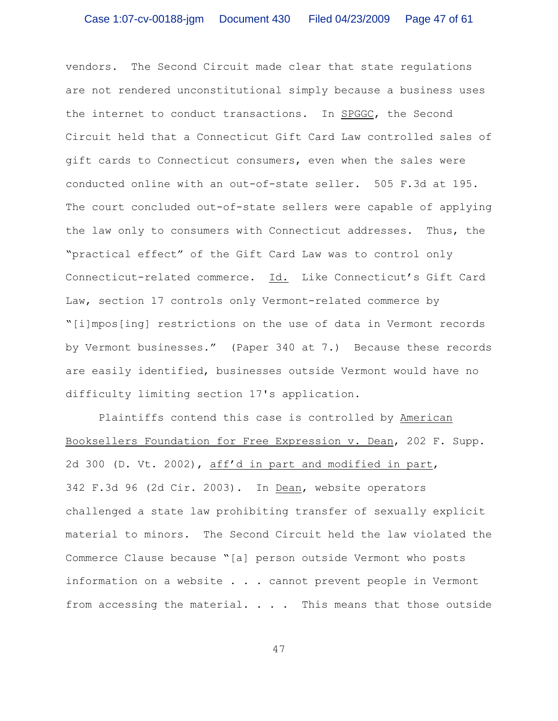vendors. The Second Circuit made clear that state regulations are not rendered unconstitutional simply because a business uses the internet to conduct transactions. In SPGGC, the Second Circuit held that a Connecticut Gift Card Law controlled sales of gift cards to Connecticut consumers, even when the sales were conducted online with an out-of-state seller. 505 F.3d at 195. The court concluded out-of-state sellers were capable of applying the law only to consumers with Connecticut addresses. Thus, the "practical effect" of the Gift Card Law was to control only Connecticut-related commerce. Id. Like Connecticut's Gift Card Law, section 17 controls only Vermont-related commerce by "[i]mpos[ing] restrictions on the use of data in Vermont records by Vermont businesses." (Paper 340 at 7.) Because these records are easily identified, businesses outside Vermont would have no difficulty limiting section 17's application.

Plaintiffs contend this case is controlled by American Booksellers Foundation for Free Expression v. Dean, 202 F. Supp. 2d 300 (D. Vt. 2002), aff'd in part and modified in part, 342 F.3d 96 (2d Cir. 2003). In Dean, website operators challenged a state law prohibiting transfer of sexually explicit material to minors. The Second Circuit held the law violated the Commerce Clause because "[a] person outside Vermont who posts information on a website . . . cannot prevent people in Vermont from accessing the material.  $\ldots$  . This means that those outside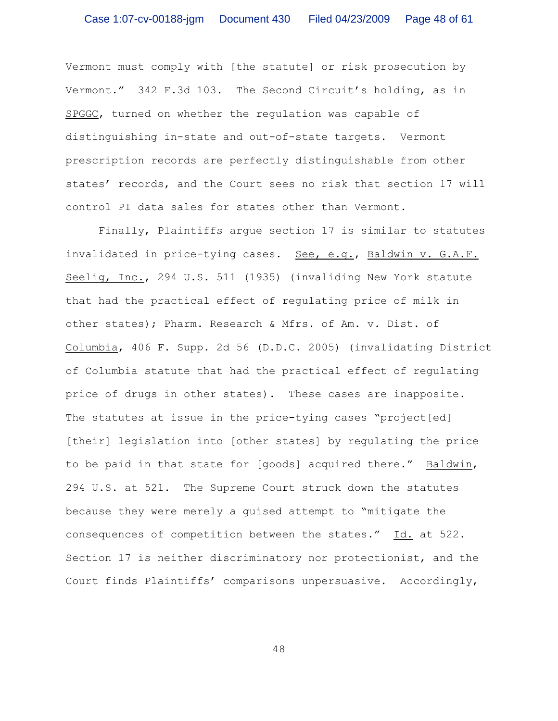Vermont must comply with [the statute] or risk prosecution by Vermont." 342 F.3d 103. The Second Circuit's holding, as in SPGGC, turned on whether the regulation was capable of distinguishing in-state and out-of-state targets. Vermont prescription records are perfectly distinguishable from other states' records, and the Court sees no risk that section 17 will control PI data sales for states other than Vermont.

Finally, Plaintiffs argue section 17 is similar to statutes invalidated in price-tying cases. See, e.g., Baldwin v. G.A.F. Seelig, Inc., 294 U.S. 511 (1935) (invaliding New York statute that had the practical effect of regulating price of milk in other states); Pharm. Research & Mfrs. of Am. v. Dist. of Columbia, 406 F. Supp. 2d 56 (D.D.C. 2005) (invalidating District of Columbia statute that had the practical effect of regulating price of drugs in other states). These cases are inapposite. The statutes at issue in the price-tying cases "project[ed] [their] legislation into [other states] by regulating the price to be paid in that state for [goods] acquired there." Baldwin, 294 U.S. at 521. The Supreme Court struck down the statutes because they were merely a guised attempt to "mitigate the consequences of competition between the states." Id. at 522. Section 17 is neither discriminatory nor protectionist, and the Court finds Plaintiffs' comparisons unpersuasive. Accordingly,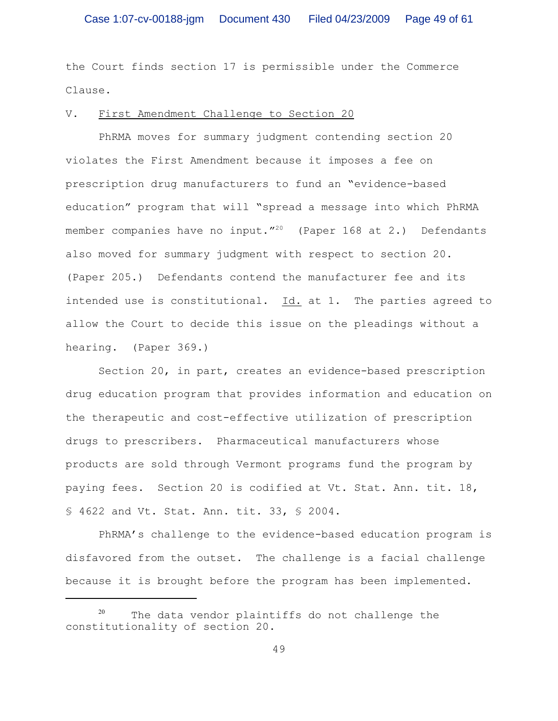the Court finds section 17 is permissible under the Commerce Clause.

### V. First Amendment Challenge to Section 20

PhRMA moves for summary judgment contending section 20 violates the First Amendment because it imposes a fee on prescription drug manufacturers to fund an "evidence-based education" program that will "spread a message into which PhRMA member companies have no input."<sup>20</sup> (Paper 168 at 2.) Defendants also moved for summary judgment with respect to section 20. (Paper 205.) Defendants contend the manufacturer fee and its intended use is constitutional. Id. at 1. The parties agreed to allow the Court to decide this issue on the pleadings without a hearing. (Paper 369.)

Section 20, in part, creates an evidence-based prescription drug education program that provides information and education on the therapeutic and cost-effective utilization of prescription drugs to prescribers. Pharmaceutical manufacturers whose products are sold through Vermont programs fund the program by paying fees. Section 20 is codified at Vt. Stat. Ann. tit. 18, § 4622 and Vt. Stat. Ann. tit. 33, § 2004.

PhRMA's challenge to the evidence-based education program is disfavored from the outset. The challenge is a facial challenge because it is brought before the program has been implemented.

 $20$  The data vendor plaintiffs do not challenge the constitutionality of section 20.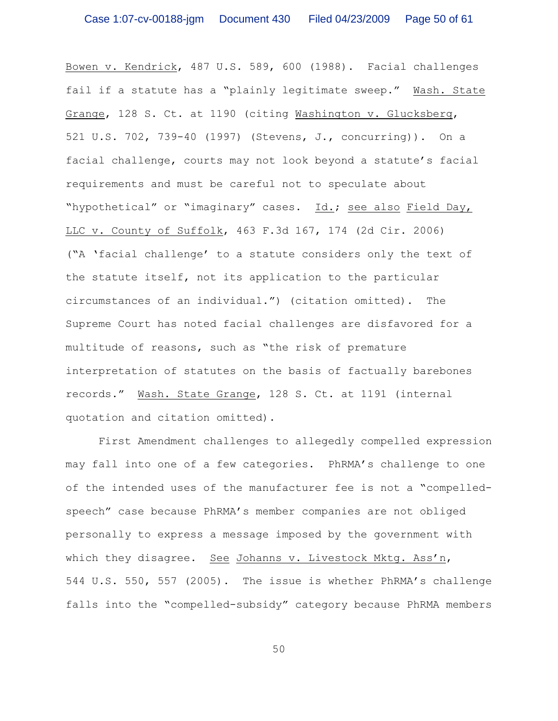Bowen v. Kendrick, 487 U.S. 589, 600 (1988). Facial challenges fail if a statute has a "plainly legitimate sweep." Wash. State Grange, 128 S. Ct. at 1190 (citing Washington v. Glucksberg, 521 U.S. 702, 739-40 (1997) (Stevens, J., concurring)). On a facial challenge, courts may not look beyond a statute's facial requirements and must be careful not to speculate about "hypothetical" or "imaginary" cases. Id.; see also Field Day, LLC v. County of Suffolk, 463 F.3d 167, 174 (2d Cir. 2006) ("A 'facial challenge' to a statute considers only the text of the statute itself, not its application to the particular circumstances of an individual.") (citation omitted). The Supreme Court has noted facial challenges are disfavored for a multitude of reasons, such as "the risk of premature interpretation of statutes on the basis of factually barebones records." Wash. State Grange, 128 S. Ct. at 1191 (internal quotation and citation omitted).

First Amendment challenges to allegedly compelled expression may fall into one of a few categories. PhRMA's challenge to one of the intended uses of the manufacturer fee is not a "compelledspeech" case because PhRMA's member companies are not obliged personally to express a message imposed by the government with which they disagree. See Johanns v. Livestock Mktg. Ass'n, 544 U.S. 550, 557 (2005). The issue is whether PhRMA's challenge falls into the "compelled-subsidy" category because PhRMA members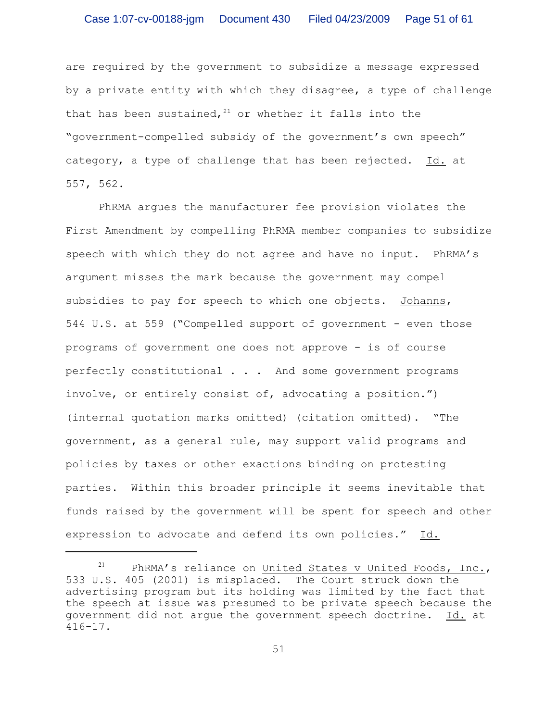are required by the government to subsidize a message expressed by a private entity with which they disagree, a type of challenge that has been sustained,  $21$  or whether it falls into the "government-compelled subsidy of the government's own speech" category, a type of challenge that has been rejected. Id. at 557, 562.

PhRMA argues the manufacturer fee provision violates the First Amendment by compelling PhRMA member companies to subsidize speech with which they do not agree and have no input. PhRMA's argument misses the mark because the government may compel subsidies to pay for speech to which one objects. Johanns, 544 U.S. at 559 ("Compelled support of government - even those programs of government one does not approve - is of course perfectly constitutional . . . And some government programs involve, or entirely consist of, advocating a position.") (internal quotation marks omitted) (citation omitted). "The government, as a general rule, may support valid programs and policies by taxes or other exactions binding on protesting parties. Within this broader principle it seems inevitable that funds raised by the government will be spent for speech and other expression to advocate and defend its own policies." Id.

<sup>&</sup>lt;sup>21</sup> PhRMA's reliance on United States v United Foods, Inc., 533 U.S. 405 (2001) is misplaced. The Court struck down the advertising program but its holding was limited by the fact that the speech at issue was presumed to be private speech because the government did not argue the government speech doctrine. Id. at 416-17.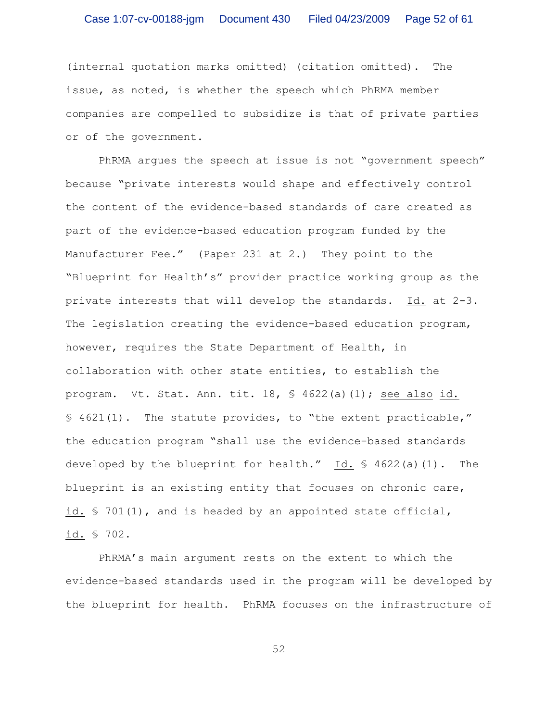(internal quotation marks omitted) (citation omitted). The issue, as noted, is whether the speech which PhRMA member companies are compelled to subsidize is that of private parties or of the government.

PhRMA argues the speech at issue is not "government speech" because "private interests would shape and effectively control the content of the evidence-based standards of care created as part of the evidence-based education program funded by the Manufacturer Fee." (Paper 231 at 2.) They point to the "Blueprint for Health's" provider practice working group as the private interests that will develop the standards. Id. at 2-3. The legislation creating the evidence-based education program, however, requires the State Department of Health, in collaboration with other state entities, to establish the program. Vt. Stat. Ann. tit. 18, § 4622(a)(1); see also id. § 4621(1). The statute provides, to "the extent practicable," the education program "shall use the evidence-based standards developed by the blueprint for health." Id. § 4622(a)(1). The blueprint is an existing entity that focuses on chronic care, id. § 701(1), and is headed by an appointed state official, id. § 702.

PhRMA's main argument rests on the extent to which the evidence-based standards used in the program will be developed by the blueprint for health. PhRMA focuses on the infrastructure of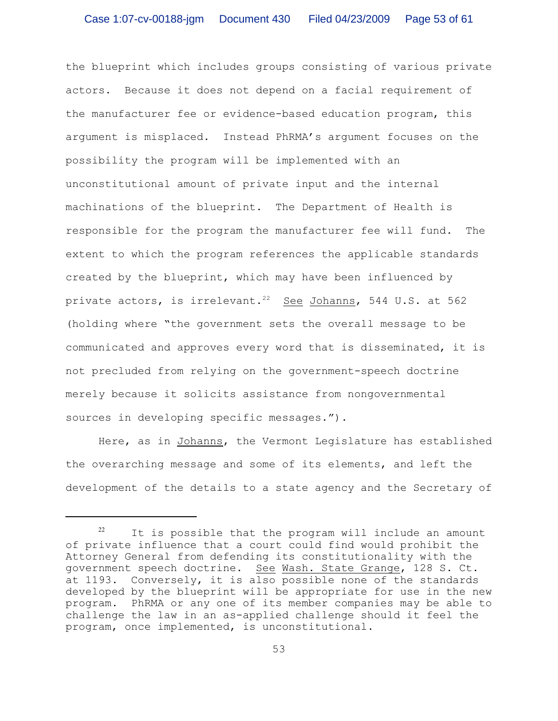the blueprint which includes groups consisting of various private actors. Because it does not depend on a facial requirement of the manufacturer fee or evidence-based education program, this argument is misplaced. Instead PhRMA's argument focuses on the possibility the program will be implemented with an unconstitutional amount of private input and the internal machinations of the blueprint. The Department of Health is responsible for the program the manufacturer fee will fund. The extent to which the program references the applicable standards created by the blueprint, which may have been influenced by private actors, is irrelevant.<sup>22</sup> See Johanns, 544 U.S. at 562 (holding where "the government sets the overall message to be communicated and approves every word that is disseminated, it is not precluded from relying on the government-speech doctrine merely because it solicits assistance from nongovernmental sources in developing specific messages.").

Here, as in Johanns, the Vermont Legislature has established the overarching message and some of its elements, and left the development of the details to a state agency and the Secretary of

 $22$  It is possible that the program will include an amount of private influence that a court could find would prohibit the Attorney General from defending its constitutionality with the government speech doctrine. See Wash. State Grange, 128 S. Ct. at 1193. Conversely, it is also possible none of the standards developed by the blueprint will be appropriate for use in the new program. PhRMA or any one of its member companies may be able to challenge the law in an as-applied challenge should it feel the program, once implemented, is unconstitutional.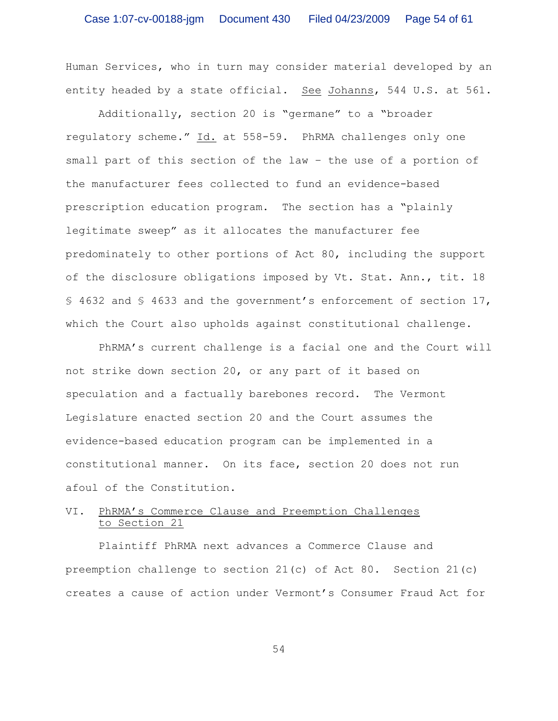Human Services, who in turn may consider material developed by an entity headed by a state official. See Johanns, 544 U.S. at 561.

Additionally, section 20 is "germane" to a "broader regulatory scheme." Id. at 558-59. PhRMA challenges only one small part of this section of the law – the use of a portion of the manufacturer fees collected to fund an evidence-based prescription education program. The section has a "plainly legitimate sweep" as it allocates the manufacturer fee predominately to other portions of Act 80, including the support of the disclosure obligations imposed by Vt. Stat. Ann., tit. 18 § 4632 and § 4633 and the government's enforcement of section 17, which the Court also upholds against constitutional challenge.

PhRMA's current challenge is a facial one and the Court will not strike down section 20, or any part of it based on speculation and a factually barebones record. The Vermont Legislature enacted section 20 and the Court assumes the evidence-based education program can be implemented in a constitutional manner. On its face, section 20 does not run afoul of the Constitution.

# VI. PhRMA's Commerce Clause and Preemption Challenges to Section 21

Plaintiff PhRMA next advances a Commerce Clause and preemption challenge to section 21(c) of Act 80. Section 21(c) creates a cause of action under Vermont's Consumer Fraud Act for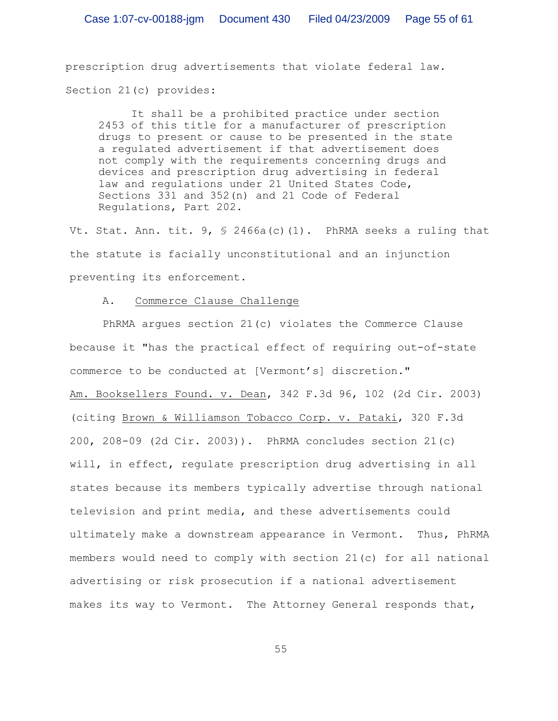prescription drug advertisements that violate federal law. Section 21(c) provides:

It shall be a prohibited practice under section 2453 of this title for a manufacturer of prescription drugs to present or cause to be presented in the state a regulated advertisement if that advertisement does not comply with the requirements concerning drugs and devices and prescription drug advertising in federal law and regulations under 21 United States Code, Sections 331 and 352(n) and 21 Code of Federal Regulations, Part 202.

Vt. Stat. Ann. tit.  $9,$  \$ 2466a(c)(1). PhRMA seeks a ruling that the statute is facially unconstitutional and an injunction preventing its enforcement.

### A. Commerce Clause Challenge

PhRMA argues section 21(c) violates the Commerce Clause because it "has the practical effect of requiring out-of-state commerce to be conducted at [Vermont's] discretion." Am. Booksellers Found. v. Dean, 342 F.3d 96, 102 (2d Cir. 2003) (citing Brown & Williamson Tobacco Corp. v. Pataki, 320 F.3d 200, 208-09 (2d Cir. 2003)). PhRMA concludes section 21(c) will, in effect, regulate prescription drug advertising in all states because its members typically advertise through national television and print media, and these advertisements could ultimately make a downstream appearance in Vermont. Thus, PhRMA members would need to comply with section 21(c) for all national advertising or risk prosecution if a national advertisement makes its way to Vermont. The Attorney General responds that,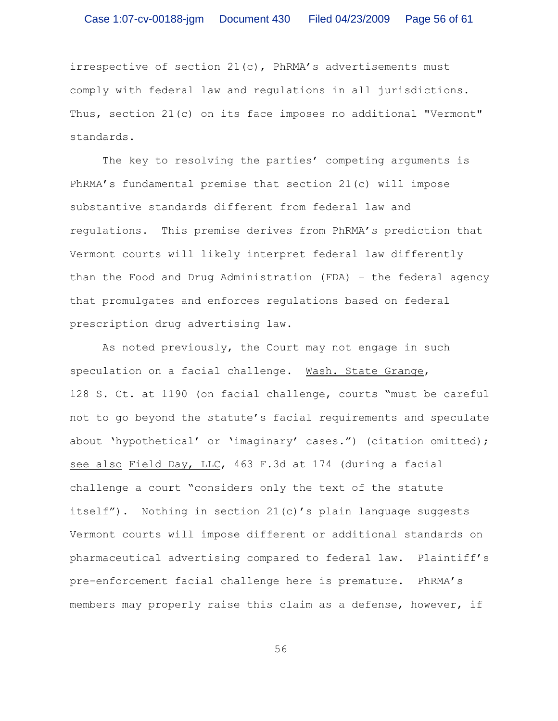irrespective of section 21(c), PhRMA's advertisements must comply with federal law and regulations in all jurisdictions. Thus, section 21(c) on its face imposes no additional "Vermont" standards.

The key to resolving the parties' competing arguments is PhRMA's fundamental premise that section 21(c) will impose substantive standards different from federal law and regulations. This premise derives from PhRMA's prediction that Vermont courts will likely interpret federal law differently than the Food and Drug Administration (FDA) – the federal agency that promulgates and enforces regulations based on federal prescription drug advertising law.

As noted previously, the Court may not engage in such speculation on a facial challenge. Wash. State Grange, 128 S. Ct. at 1190 (on facial challenge, courts "must be careful not to go beyond the statute's facial requirements and speculate about 'hypothetical' or 'imaginary' cases.") (citation omitted); see also Field Day, LLC, 463 F.3d at 174 (during a facial challenge a court "considers only the text of the statute itself"). Nothing in section 21(c)'s plain language suggests Vermont courts will impose different or additional standards on pharmaceutical advertising compared to federal law. Plaintiff's pre-enforcement facial challenge here is premature. PhRMA's members may properly raise this claim as a defense, however, if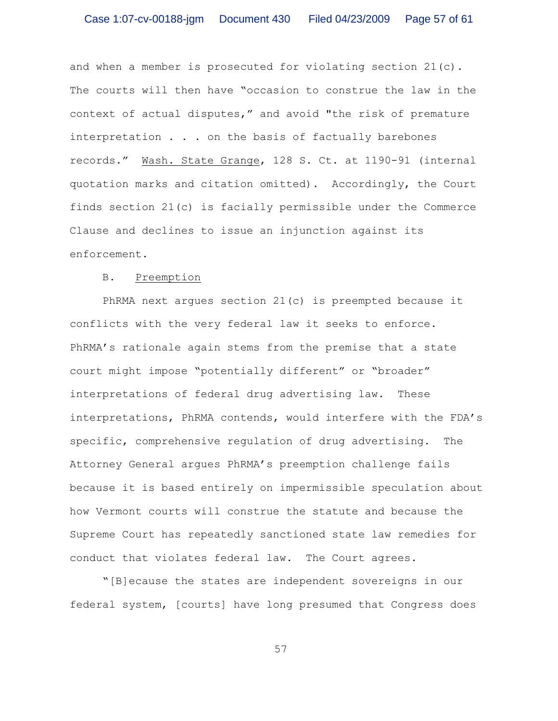and when a member is prosecuted for violating section 21(c). The courts will then have "occasion to construe the law in the context of actual disputes," and avoid "the risk of premature interpretation . . . on the basis of factually barebones records." Wash. State Grange, 128 S. Ct. at 1190-91 (internal quotation marks and citation omitted). Accordingly, the Court finds section 21(c) is facially permissible under the Commerce Clause and declines to issue an injunction against its enforcement.

#### B. Preemption

PhRMA next argues section 21(c) is preempted because it conflicts with the very federal law it seeks to enforce. PhRMA's rationale again stems from the premise that a state court might impose "potentially different" or "broader" interpretations of federal drug advertising law. These interpretations, PhRMA contends, would interfere with the FDA's specific, comprehensive regulation of drug advertising. The Attorney General argues PhRMA's preemption challenge fails because it is based entirely on impermissible speculation about how Vermont courts will construe the statute and because the Supreme Court has repeatedly sanctioned state law remedies for conduct that violates federal law. The Court agrees.

"[B]ecause the states are independent sovereigns in our federal system, [courts] have long presumed that Congress does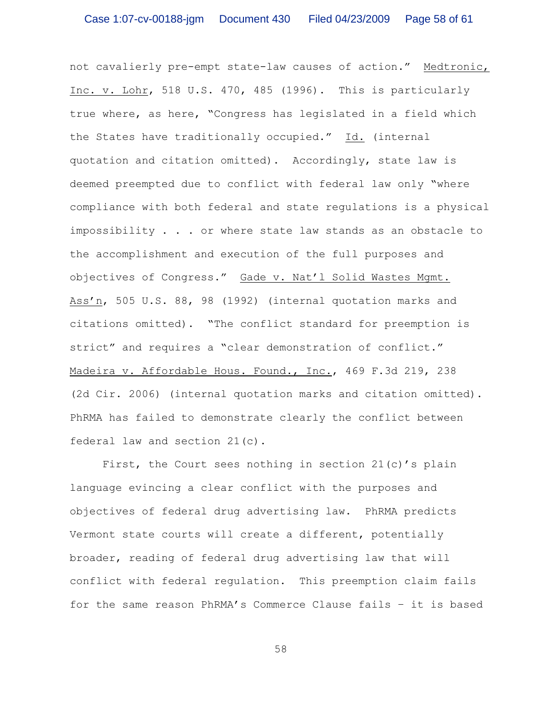not cavalierly pre-empt state-law causes of action." Medtronic, Inc. v. Lohr, 518 U.S. 470, 485 (1996). This is particularly true where, as here, "Congress has legislated in a field which the States have traditionally occupied." Id. (internal quotation and citation omitted). Accordingly, state law is deemed preempted due to conflict with federal law only "where compliance with both federal and state regulations is a physical impossibility . . . or where state law stands as an obstacle to the accomplishment and execution of the full purposes and objectives of Congress." Gade v. Nat'l Solid Wastes Mgmt. Ass'n, 505 U.S. 88, 98 (1992) (internal quotation marks and citations omitted). "The conflict standard for preemption is strict" and requires a "clear demonstration of conflict." Madeira v. Affordable Hous. Found., Inc., 469 F.3d 219, 238 (2d Cir. 2006) (internal quotation marks and citation omitted). PhRMA has failed to demonstrate clearly the conflict between federal law and section 21(c).

First, the Court sees nothing in section  $21(c)'$ s plain language evincing a clear conflict with the purposes and objectives of federal drug advertising law. PhRMA predicts Vermont state courts will create a different, potentially broader, reading of federal drug advertising law that will conflict with federal regulation. This preemption claim fails for the same reason PhRMA's Commerce Clause fails – it is based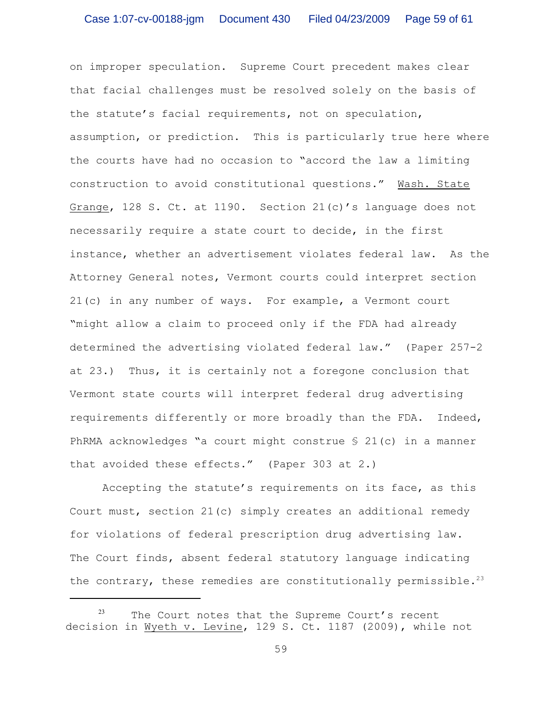on improper speculation. Supreme Court precedent makes clear that facial challenges must be resolved solely on the basis of the statute's facial requirements, not on speculation, assumption, or prediction. This is particularly true here where the courts have had no occasion to "accord the law a limiting construction to avoid constitutional questions." Wash. State Grange, 128 S. Ct. at 1190. Section 21(c)'s language does not necessarily require a state court to decide, in the first instance, whether an advertisement violates federal law. As the Attorney General notes, Vermont courts could interpret section 21(c) in any number of ways. For example, a Vermont court "might allow a claim to proceed only if the FDA had already determined the advertising violated federal law." (Paper 257-2 at 23.) Thus, it is certainly not a foregone conclusion that Vermont state courts will interpret federal drug advertising requirements differently or more broadly than the FDA. Indeed, PhRMA acknowledges "a court might construe § 21(c) in a manner that avoided these effects." (Paper 303 at 2.)

Accepting the statute's requirements on its face, as this Court must, section 21(c) simply creates an additional remedy for violations of federal prescription drug advertising law. The Court finds, absent federal statutory language indicating the contrary, these remedies are constitutionally permissible.<sup>23</sup>

 $23$  The Court notes that the Supreme Court's recent decision in Wyeth v. Levine, 129 S. Ct. 1187 (2009), while not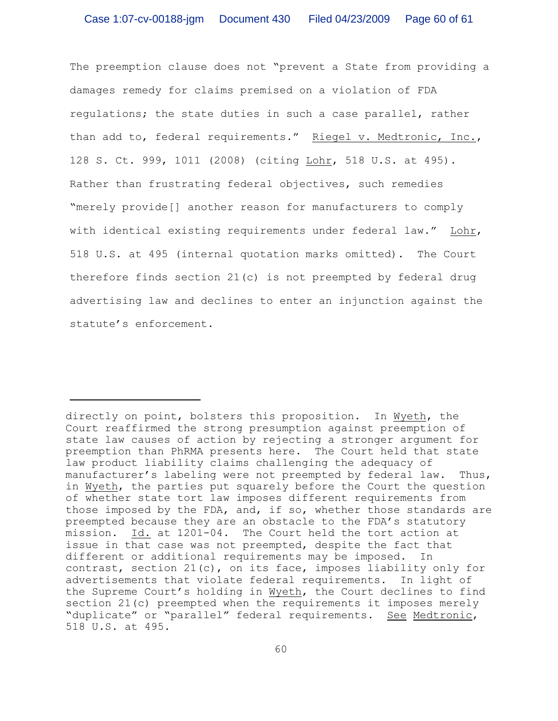The preemption clause does not "prevent a State from providing a damages remedy for claims premised on a violation of FDA regulations; the state duties in such a case parallel, rather than add to, federal requirements." Riegel v. Medtronic, Inc., 128 S. Ct. 999, 1011 (2008) (citing Lohr, 518 U.S. at 495). Rather than frustrating federal objectives, such remedies "merely provide[] another reason for manufacturers to comply with identical existing requirements under federal law." Lohr, 518 U.S. at 495 (internal quotation marks omitted). The Court therefore finds section 21(c) is not preempted by federal drug advertising law and declines to enter an injunction against the statute's enforcement.

directly on point, bolsters this proposition. In Wyeth, the Court reaffirmed the strong presumption against preemption of state law causes of action by rejecting a stronger argument for preemption than PhRMA presents here. The Court held that state law product liability claims challenging the adequacy of manufacturer's labeling were not preempted by federal law. Thus, in Wyeth, the parties put squarely before the Court the question of whether state tort law imposes different requirements from those imposed by the FDA, and, if so, whether those standards are preempted because they are an obstacle to the FDA's statutory mission. Id. at 1201-04. The Court held the tort action at issue in that case was not preempted, despite the fact that different or additional requirements may be imposed. In contrast, section 21(c), on its face, imposes liability only for advertisements that violate federal requirements. In light of the Supreme Court's holding in Wyeth, the Court declines to find section 21(c) preempted when the requirements it imposes merely "duplicate" or "parallel" federal requirements. See Medtronic, 518 U.S. at 495.